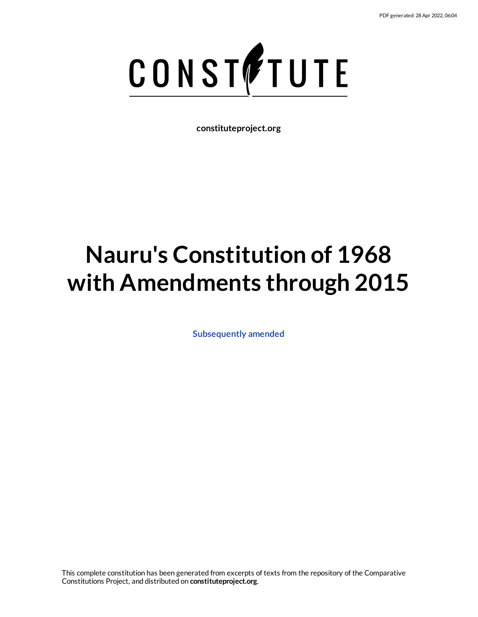

**constituteproject.org**

# **Nauru's Constitution of 1968 with Amendments through 2015**

**[Subsequently](https://www.constituteproject.org/Oceania/Nauru_2015?lang=en) amended**

This complete constitution has been generated from excerpts of texts from the repository of the Comparative Constitutions Project, and distributed on **constituteproject.org**.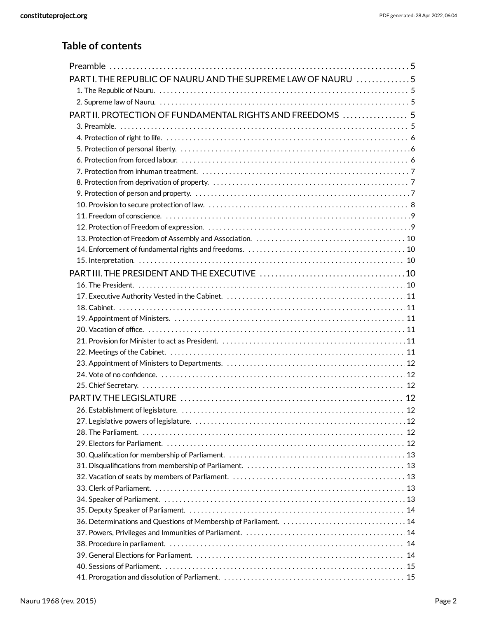# **Table of contents**

| PART I. THE REPUBLIC OF NAURU AND THE SUPREME LAW OF NAURU 5      |  |
|-------------------------------------------------------------------|--|
|                                                                   |  |
|                                                                   |  |
| PART II. PROTECTION OF FUNDAMENTAL RIGHTS AND FREEDOMS  5         |  |
|                                                                   |  |
|                                                                   |  |
|                                                                   |  |
|                                                                   |  |
|                                                                   |  |
|                                                                   |  |
|                                                                   |  |
|                                                                   |  |
|                                                                   |  |
|                                                                   |  |
|                                                                   |  |
|                                                                   |  |
|                                                                   |  |
|                                                                   |  |
|                                                                   |  |
|                                                                   |  |
|                                                                   |  |
|                                                                   |  |
|                                                                   |  |
|                                                                   |  |
|                                                                   |  |
|                                                                   |  |
|                                                                   |  |
|                                                                   |  |
|                                                                   |  |
|                                                                   |  |
|                                                                   |  |
|                                                                   |  |
|                                                                   |  |
|                                                                   |  |
|                                                                   |  |
|                                                                   |  |
|                                                                   |  |
|                                                                   |  |
|                                                                   |  |
| 36. Determinations and Questions of Membership of Parliament.  14 |  |
|                                                                   |  |
|                                                                   |  |
|                                                                   |  |
|                                                                   |  |
|                                                                   |  |
|                                                                   |  |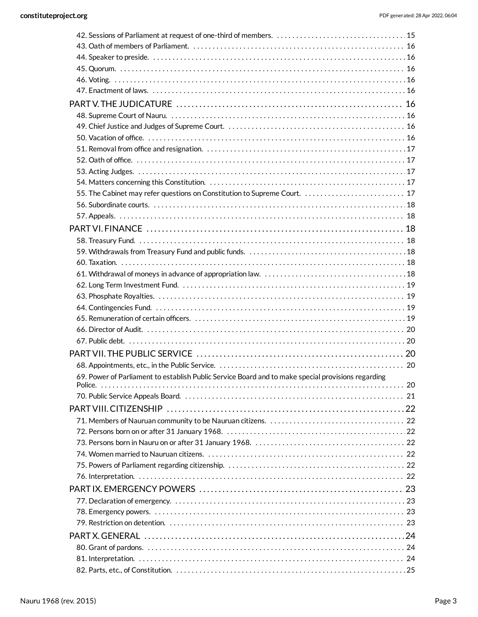| 69. Power of Parliament to establish Public Service Board and to make special provisions regarding |  |
|----------------------------------------------------------------------------------------------------|--|
|                                                                                                    |  |
|                                                                                                    |  |
|                                                                                                    |  |
|                                                                                                    |  |
|                                                                                                    |  |
|                                                                                                    |  |
|                                                                                                    |  |
|                                                                                                    |  |
|                                                                                                    |  |
|                                                                                                    |  |
|                                                                                                    |  |
|                                                                                                    |  |
|                                                                                                    |  |
|                                                                                                    |  |
|                                                                                                    |  |
|                                                                                                    |  |
|                                                                                                    |  |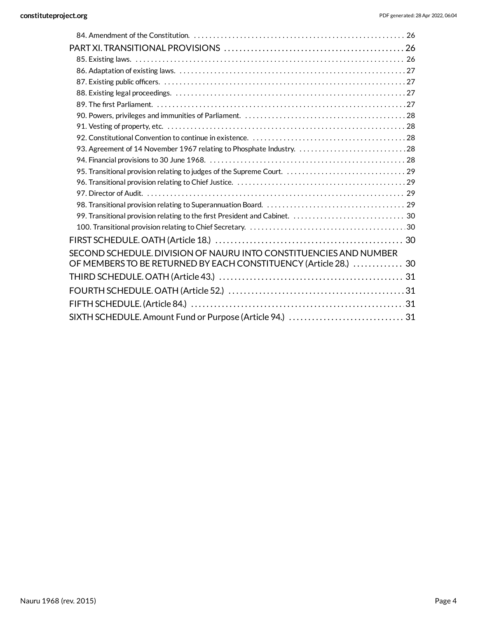| 93. Agreement of 14 November 1967 relating to Phosphate Industry. 28 |  |
|----------------------------------------------------------------------|--|
|                                                                      |  |
|                                                                      |  |
|                                                                      |  |
|                                                                      |  |
|                                                                      |  |
|                                                                      |  |
|                                                                      |  |
|                                                                      |  |
| SECOND SCHEDULE. DIVISION OF NAURU INTO CONSTITUENCIES AND NUMBER    |  |
| OF MEMBERS TO BE RETURNED BY EACH CONSTITUENCY (Article 28.)  30     |  |
|                                                                      |  |
|                                                                      |  |
|                                                                      |  |
|                                                                      |  |
|                                                                      |  |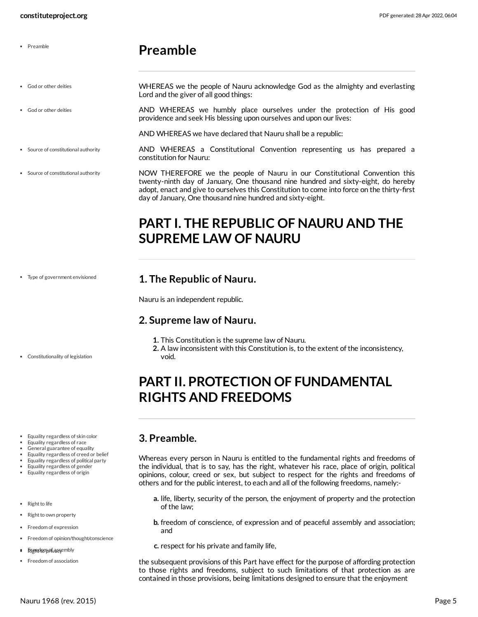• Preamble

# <span id="page-4-0"></span>**Preamble**

Lord and the giver of all good things:

- God or other deities
- God or other deities

AND WHEREAS we humbly place ourselves under the protection of His good providence and seek His blessing upon ourselves and upon our lives:

<span id="page-4-7"></span>WHEREAS we the people of Nauru acknowledge God as the almighty and everlasting

<span id="page-4-8"></span>AND WHEREAS we have declared that Nauru shall be a republic:

- AND WHEREAS a Constitutional Convention representing us has prepared a constitution for Nauru: Source of constitutional authority
- NOW THEREFORE we the people of Nauru in our Constitutional Convention this twenty-ninth day of January, One thousand nine hundred and sixty-eight, do hereby adopt, enact and give to ourselves this Constitution to come into force on the thirty-first day of January, One thousand nine hundred and sixty-eight. Source of constitutional authority

# <span id="page-4-1"></span>**PART I. THE REPUBLIC OF NAURU AND THE SUPREME LAW OF NAURU**

Type of government envisioned

#### <span id="page-4-2"></span>**1. The Republic of Nauru.**

Nauru is an independent republic.

#### <span id="page-4-3"></span>**2. Supreme law of Nauru.**

- **1.** This Constitution is the supreme law of Nauru.
- **2.** A law inconsistent with this Constitution is, to the extent of the inconsistency, void.

# <span id="page-4-4"></span>**PART II. PROTECTION OF FUNDAMENTAL RIGHTS AND FREEDOMS**

#### <span id="page-4-5"></span>**3. Preamble.**

<span id="page-4-6"></span>Whereas every person in Nauru is entitled to the fundamental rights and freedoms of the individual, that is to say, has the right, whatever his race, place of origin, political opinions, colour, creed or sex, but subject to respect for the rights and freedoms of others and for the public interest, to each and all of the following freedoms, namely:-

- **a.** life, liberty, security of the person, the enjoyment of property and the protection of the law;
- **b.** freedom of conscience, of expression and of peaceful assembly and association; and
- **c.** respect for his private and family life,

the subsequent provisions of this Part have effect for the purpose of affording protection to those rights and freedoms, subject to such limitations of that protection as are contained in those provisions, being limitations designed to ensure that the enjoyment

Constitutionality of legislation

- Equality regardless of skin color
- Equality regardless of race
- General guarantee of equality Equality regardless of creed or belief
- Equality regardless of political party
- Equality regardless of gender
- Equality regardless of origin
- Right to life
- Right to own property
- Freedom of expression
- Freedom of opinion/thought/conscience
- **Rightlerpphassembly**
- Freedom of association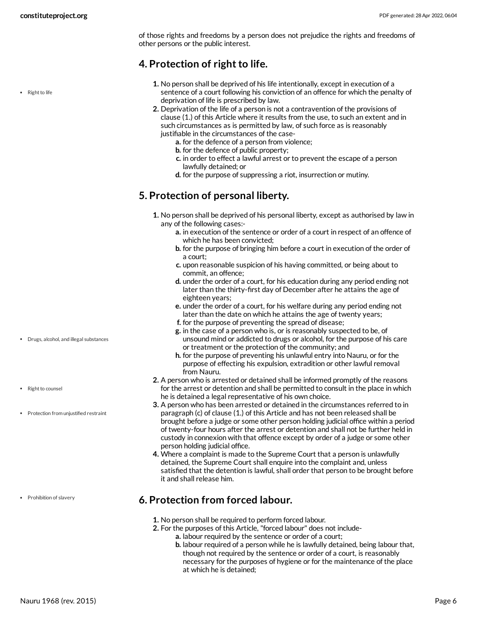• Right to life

of those rights and freedoms by a person does not prejudice the rights and freedoms of other persons or the public interest.

### <span id="page-5-0"></span>**4. Protection of right to life.**

- **1.** No person shall be deprived of his life intentionally, except in execution of a sentence of a court following his conviction of an offence for which the penalty of deprivation of life is prescribed by law.
- **2.** Deprivation of the life of a person is not a contravention of the provisions of clause (1.) of this Article where it results from the use, to such an extent and in such circumstances as is permitted by law, of such force as is reasonably justifiable in the circumstances of the case
	- **a.** for the defence of a person from violence;
	- **b.** for the defence of public property;
	- **c.** in order to effect a lawful arrest or to prevent the escape of a person lawfully detained; or
	- **d.** for the purpose of suppressing a riot, insurrection or mutiny.

# <span id="page-5-1"></span>**5. Protection of personal liberty.**

- **1.** No person shall be deprived of his personal liberty, except as authorised by law in any of the following cases:
	- **a.** in execution of the sentence or order of a court in respect of an offence of which he has been convicted;
	- **b.** for the purpose of bringing him before a court in execution of the order of a court;
	- **c.** upon reasonable suspicion of his having committed, or being about to commit, an offence;
	- **d.** under the order of a court, for his education during any period ending not later than the thirty-first day of December after he attains the age of eighteen years;
	- **e.** under the order of a court, for his welfare during any period ending not later than the date on which he attains the age of twenty years;
	- **f.** for the purpose of preventing the spread of disease;
	- **g.** in the case of a person who is, or is reasonably suspected to be, of unsound mind or addicted to drugs or alcohol, for the purpose of his care or treatment or the protection of the community; and
	- **h.** for the purpose of preventing his unlawful entry into Nauru, or for the purpose of effecting his expulsion, extradition or other lawful removal from Nauru.
- **2.** A person who is arrested or detained shall be informed promptly of the reasons for the arrest or detention and shall be permitted to consult in the place in which he is detained a legal representative of his own choice.
- **3.** A person who has been arrested or detained in the circumstances referred to in paragraph (c) of clause (1.) of this Article and has not been released shall be brought before a judge or some other person holding judicial office within a period of twenty-four hours after the arrest or detention and shall not be further held in custody in connexion with that offence except by order of a judge or some other person holding judicial office.
- **4.** Where a complaint is made to the Supreme Court that a person is unlawfully detained, the Supreme Court shall enquire into the complaint and, unless satisfied that the detention is lawful, shall order that person to be brought before it and shall release him.

# <span id="page-5-2"></span>**6. Protection from forced labour.**

- **1.** No person shall be required to perform forced labour.
- **2.** For the purposes of this Article, "forced labour" does not include**a.** labour required by the sentence or order of a court;
	- **b.** labour required of a person while he is lawfully detained, being labour that, though not required by the sentence or order of a court, is reasonably necessary for the purposes of hygiene or for the maintenance of the place at which he is detained;
- Drugs, alcohol, and illegal substances
- Right to counsel
- Protection from unjustified restraint

• Prohibition of slavery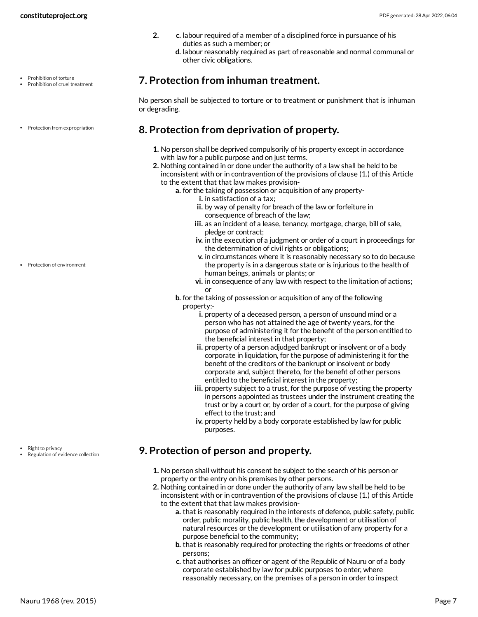- Prohibition of torture
- Prohibition of cruel treatment
- 

• Protection from expropriation

No person shall be subjected to torture or to treatment or punishment that is inhuman or degrading.

**2. c.** labour required of a member of a disciplined force in pursuance of his

**d.** labour reasonably required as part of reasonable and normal communal or

#### <span id="page-6-1"></span>**8. Protection from deprivation of property.**

duties as such a member; or

<span id="page-6-0"></span>**7. Protection from inhuman treatment.**

other civic obligations.

- **1.** No person shall be deprived compulsorily of his property except in accordance with law for a public purpose and on just terms.
- **2.** Nothing contained in or done under the authority of a law shall be held to be inconsistent with or in contravention of the provisions of clause (1.) of this Article to the extent that that law makes provision
	- **a.** for the taking of possession or acquisition of any property**i.** in satisfaction of a tax;
		- **ii.** by way of penalty for breach of the law or forfeiture in consequence of breach of the law;
		- **iii.** as an incident of a lease, tenancy, mortgage, charge, bill of sale, pledge or contract;
		- **iv.** in the execution of a judgment or order of a court in proceedings for the determination of civil rights or obligations;
		- **v.** in circumstances where it is reasonably necessary so to do because the property is in a dangerous state or is injurious to the health of human beings, animals or plants; or
		- **vi.** in consequence of any law with respect to the limitation of actions; or
	- **b.** for the taking of possession or acquisition of any of the following property:
		- **i.** property of a deceased person, a person of unsound mind or a person who has not attained the age of twenty years, for the purpose of administering it for the benefit of the person entitled to the beneficial interest in that property;
		- **ii.** property of a person adjudged bankrupt or insolvent or of a body corporate in liquidation, for the purpose of administering it for the benefit of the creditors of the bankrupt or insolvent or body corporate and, subject thereto, for the benefit of other persons entitled to the beneficial interest in the property;
		- **iii.** property subject to a trust, for the purpose of vesting the property in persons appointed as trustees under the instrument creating the trust or by a court or, by order of a court, for the purpose of giving effect to the trust; and
		- **iv.** property held by a body corporate established by law for public purposes.

#### <span id="page-6-2"></span>**9. Protection of person and property.**

- **1.** No person shall without his consent be subject to the search of his person or property or the entry on his premises by other persons.
- **2.** Nothing contained in or done under the authority of any law shall be held to be inconsistent with or in contravention of the provisions of clause (1.) of this Article to the extent that that law makes provision
	- **a.** that is reasonably required in the interests of defence, public safety, public order, public morality, public health, the development or utilisation of natural resources or the development or utilisation of any property for a purpose beneficial to the community;
	- **b.** that is reasonably required for protecting the rights or freedoms of other persons;
	- **c.** that authorises an officer or agent of the Republic of Nauru or of a body corporate established by law for public purposes to enter, where reasonably necessary, on the premises of a person in order to inspect

• Protection of environment

- Right to privacy
- Regulation of evidence collection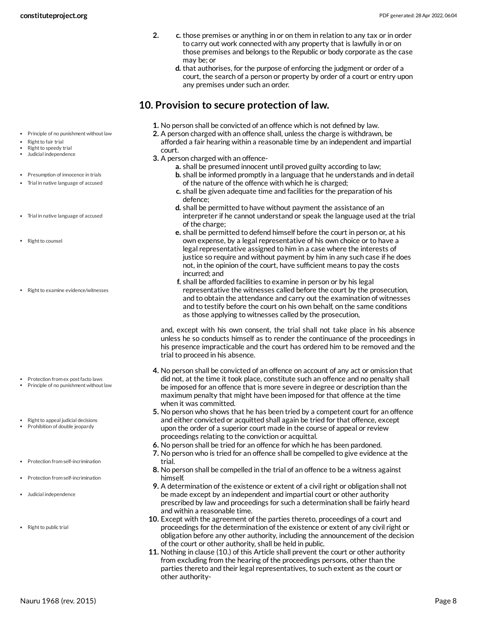- **2. c.** those premises or anything in or on them in relation to any tax or in order to carry out work connected with any property that is lawfully in or on those premises and belongs to the Republic or body corporate as the case may be; or
	- **d.** that authorises, for the purpose of enforcing the judgment or order of a court, the search of a person or property by order of a court or entry upon any premises under such an order.

#### <span id="page-7-0"></span>**10. Provision to secure protection of law.**

- **1.** No person shall be convicted of an offence which is not defined by law.
- **2.** A person charged with an offence shall, unless the charge is withdrawn, be
- afforded a fair hearing within a reasonable time by an independent and impartial court.
- **3.** A person charged with an offence
	- **a.** shall be presumed innocent until proved guilty according to law;
	- **b.** shall be informed promptly in a language that he understands and in detail of the nature of the offence with which he is charged;
	- **c.** shall be given adequate time and facilities for the preparation of his defence;
	- **d.** shall be permitted to have without payment the assistance of an interpreter if he cannot understand or speak the language used at the trial of the charge;
	- **e.** shall be permitted to defend himself before the court in person or, at his own expense, by a legal representative of his own choice or to have a legal representative assigned to him in a case where the interests of justice so require and without payment by him in any such case if he does not, in the opinion of the court, have sufficient means to pay the costs incurred; and
	- **f.** shall be afforded facilities to examine in person or by his legal representative the witnesses called before the court by the prosecution, and to obtain the attendance and carry out the examination of witnesses and to testify before the court on his own behalf, on the same conditions as those applying to witnesses called by the prosecution,

and, except with his own consent, the trial shall not take place in his absence unless he so conducts himself as to render the continuance of the proceedings in his presence impracticable and the court has ordered him to be removed and the trial to proceed in his absence.

- **4.** No person shall be convicted of an offence on account of any act or omission that did not, at the time it took place, constitute such an offence and no penalty shall be imposed for an offence that is more severe in degree or description than the maximum penalty that might have been imposed for that offence at the time when it was committed.
- **5.** No person who shows that he has been tried by a competent court for an offence and either convicted or acquitted shall again be tried for that offence, except upon the order of a superior court made in the course of appeal or review proceedings relating to the conviction or acquittal.
- **6.** No person shall be tried for an offence for which he has been pardoned.
- **7.** No person who is tried for an offence shall be compelled to give evidence at the trial.
- **8.** No person shall be compelled in the trial of an offence to be a witness against himself.
- **9.** A determination of the existence or extent of a civil right or obligation shall not be made except by an independent and impartial court or other authority prescribed by law and proceedings for such a determination shall be fairly heard and within a reasonable time.
- **10.** Except with the agreement of the parties thereto, proceedings of a court and proceedings for the determination of the existence or extent of any civil right or obligation before any other authority, including the announcement of the decision of the court or other authority, shall be held in public.
- **11.** Nothing in clause (10.) of this Article shall prevent the court or other authority from excluding from the hearing of the proceedings persons, other than the parties thereto and their legal representatives, to such extent as the court or other authority-
- Principle of no punishment without law
- Right to fair trial
- Right to speedy trial Judicial independence
- 
- Presumption of innocence in trials
- Trial in native language of accused
- Trial in native language of accused
- Right to counsel
- Right to examine evidence/witnesses

- Protection from ex post facto laws
- Principle of no punishment without law
- Right to appeal judicial decisions Prohibition of double jeopardy
- Protection from self-incrimination
- Protection from self-incrimination
- Judicial independence
- Right to public trial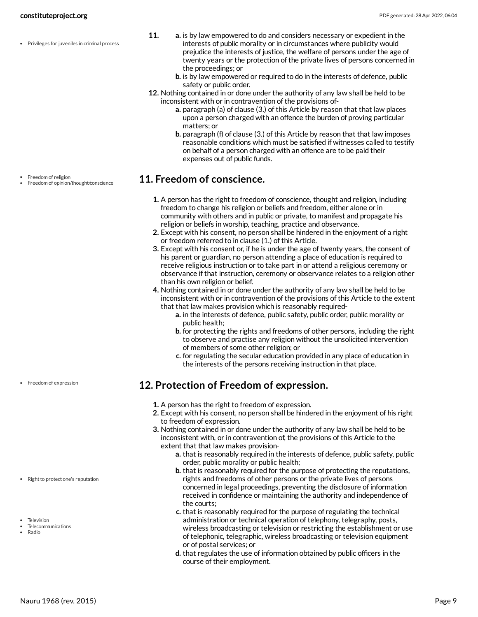Privileges for juveniles in criminal process

- **11. a.** is by law empowered to do and considers necessary or expedient in the interests of public morality or in circumstances where publicity would prejudice the interests of justice, the welfare of persons under the age of twenty years or the protection of the private lives of persons concerned in the proceedings; or
	- **b.** is by law empowered or required to do in the interests of defence, public safety or public order.
- **12.** Nothing contained in or done under the authority of any law shall be held to be inconsistent with or in contravention of the provisions of
	- **a.** paragraph (a) of clause (3.) of this Article by reason that that law places upon a person charged with an offence the burden of proving particular matters; or
	- **b.** paragraph (f) of clause (3.) of this Article by reason that that law imposes reasonable conditions which must be satisfied if witnesses called to testify on behalf of a person charged with an offence are to be paid their expenses out of public funds.

#### <span id="page-8-0"></span>**11. Freedom of conscience.**

- **1.** A person has the right to freedom of conscience, thought and religion, including freedom to change his religion or beliefs and freedom, either alone or in community with others and in public or private, to manifest and propagate his religion or beliefs in worship, teaching, practice and observance.
- **2.** Except with his consent, no person shall be hindered in the enjoyment of a right or freedom referred to in clause (1.) of this Article.
- **3.** Except with his consent or, if he is under the age of twenty years, the consent of his parent or guardian, no person attending a place of education is required to receive religious instruction or to take part in or attend a religious ceremony or observance if that instruction, ceremony or observance relates to a religion other than his own religion or belief.
- **4.** Nothing contained in or done under the authority of any law shall be held to be inconsistent with or in contravention of the provisions of this Article to the extent that that law makes provision which is reasonably required
	- **a.** in the interests of defence, public safety, public order, public morality or public health;
	- **b.** for protecting the rights and freedoms of other persons, including the right to observe and practise any religion without the unsolicited intervention of members of some other religion; or
	- **c.** for regulating the secular education provided in any place of education in the interests of the persons receiving instruction in that place.

#### <span id="page-8-1"></span>**12. Protection of Freedom of expression.**

- **1.** A person has the right to freedom of expression.
- **2.** Except with his consent, no person shall be hindered in the enjoyment of his right to freedom of expression.
- **3.** Nothing contained in or done under the authority of any law shall be held to be inconsistent with, or in contravention of, the provisions of this Article to the extent that that law makes provision
	- **a.** that is reasonably required in the interests of defence, public safety, public order, public morality or public health;
	- **b.** that is reasonably required for the purpose of protecting the reputations, rights and freedoms of other persons or the private lives of persons concerned in legal proceedings, preventing the disclosure of information received in confidence or maintaining the authority and independence of the courts;
	- **c.** that is reasonably required for the purpose of regulating the technical administration or technical operation of telephony, telegraphy, posts, wireless broadcasting or television or restricting the establishment or use of telephonic, telegraphic, wireless broadcasting or television equipment or of postal services; or
	- **d.** that regulates the use of information obtained by public officers in the course of their employment.

Freedom of religion

Freedom of opinion/thought/conscience

• Freedom of expression

- Right to protect one's reputation
- Television
- Telecommunications Radio
-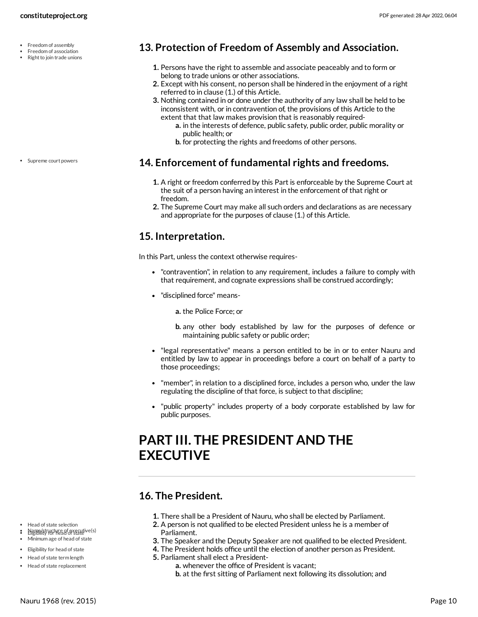- Freedom of association • Right to join trade unions
- 

#### <span id="page-9-0"></span>**13. Protection of Freedom of Assembly and Association.**

- **1.** Persons have the right to assemble and associate peaceably and to form or belong to trade unions or other associations.
- **2.** Except with his consent, no person shall be hindered in the enjoyment of a right referred to in clause (1.) of this Article.
- **3.** Nothing contained in or done under the authority of any law shall be held to be inconsistent with, or in contravention of, the provisions of this Article to the extent that that law makes provision that is reasonably required
	- **a.** in the interests of defence, public safety, public order, public morality or public health; or
	- **b.** for protecting the rights and freedoms of other persons.

#### <span id="page-9-1"></span>**14. Enforcement of fundamental rights and freedoms.**

- **1.** A right or freedom conferred by this Part is enforceable by the Supreme Court at the suit of a person having an interest in the enforcement of that right or freedom.
- **2.** The Supreme Court may make all such orders and declarations as are necessary and appropriate for the purposes of clause (1.) of this Article.

# <span id="page-9-2"></span>**15. Interpretation.**

In this Part, unless the context otherwise requires-

- "contravention", in relation to any requirement, includes a failure to comply with that requirement, and cognate expressions shall be construed accordingly;
- "disciplined force" means-

**a.** the Police Force; or

- **b.** any other body established by law for the purposes of defence or maintaining public safety or public order;
- "legal representative" means a person entitled to be in or to enter Nauru and entitled by law to appear in proceedings before a court on behalf of a party to those proceedings;
- "member", in relation to a disciplined force, includes a person who, under the law regulating the discipline of that force, is subject to that discipline;
- "public property" includes property of a body corporate established by law for public purposes.

# <span id="page-9-3"></span>**PART III. THE PRESIDENT AND THE EXECUTIVE**

#### <span id="page-9-4"></span>**16. The President.**

- **1.** There shall be a President of Nauru, who shall be elected by Parliament.
- **2.** A person is not qualified to be elected President unless he is a member of Parliament.
- **3.** The Speaker and the Deputy Speaker are not qualified to be elected President.
- **4.** The President holds office until the election of another person as President.
- **5.** Parliament shall elect a President
	- **a.** whenever the office of President is vacant; **b.** at the first sitting of Parliament next following its dissolution; and

Supreme court powers

- Head of state selection
- : Hame/structure of executive(s)
- Minimum age of head of state
- Eligibility for head of state
- Head of state term length Head of state replacement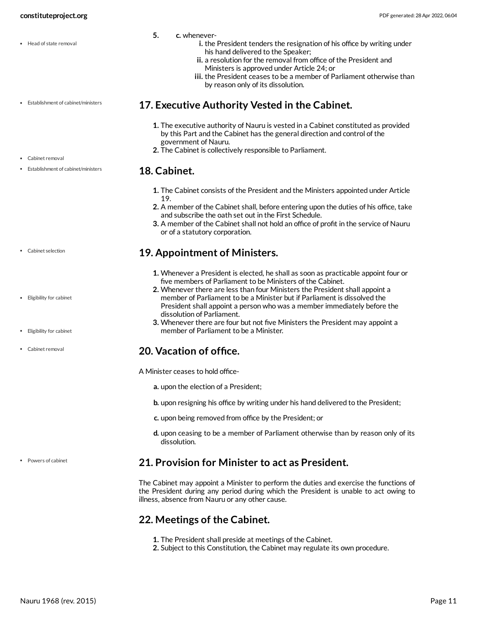• Head of state removal

**5. c.** whenever-

- **i.** the President tenders the resignation of his office by writing under his hand delivered to the Speaker;
- **ii.** a resolution for the removal from office of the President and Ministers is approved under Article 24; or
- **iii.** the President ceases to be a member of Parliament otherwise than by reason only of its dissolution.

#### <span id="page-10-0"></span>**17. Executive Authority Vested in the Cabinet.**

- **1.** The executive authority of Nauru is vested in a Cabinet constituted as provided by this Part and the Cabinet has the general direction and control of the government of Nauru.
- **2.** The Cabinet is collectively responsible to Parliament.

#### <span id="page-10-1"></span>**18. Cabinet.**

- **1.** The Cabinet consists of the President and the Ministers appointed under Article 19.
- **2.** A member of the Cabinet shall, before entering upon the duties of his office, take and subscribe the oath set out in the First Schedule.
- **3.** A member of the Cabinet shall not hold an office of profit in the service of Nauru or of a statutory corporation.

#### <span id="page-10-2"></span>**19. Appointment of Ministers.**

- **1.** Whenever a President is elected, he shall as soon as practicable appoint four or five members of Parliament to be Ministers of the Cabinet.
- **2.** Whenever there are less than four Ministers the President shall appoint a member of Parliament to be a Minister but if Parliament is dissolved the President shall appoint a person who was a member immediately before the dissolution of Parliament.
- **3.** Whenever there are four but not five Ministers the President may appoint a member of Parliament to be a Minister.

# <span id="page-10-3"></span>**20. Vacation of office.**

- A Minister ceases to hold office
	- **a.** upon the election of a President;
	- **b.** upon resigning his office by writing under his hand delivered to the President;
	- **c.** upon being removed from office by the President; or
	- **d.** upon ceasing to be a member of Parliament otherwise than by reason only of its dissolution.

# <span id="page-10-4"></span>**21. Provision for Minister to act as President.**

The Cabinet may appoint a Minister to perform the duties and exercise the functions of the President during any period during which the President is unable to act owing to illness, absence from Nauru or any other cause.

# <span id="page-10-5"></span>**22. Meetings of the Cabinet.**

- **1.** The President shall preside at meetings of the Cabinet.
- **2.** Subject to this Constitution, the Cabinet may regulate its own procedure.

Establishment of cabinet/ministers

Establishment of cabinet/ministers

Cabinet selection

Cabinet removal

- Eligibility for cabinet
- Eligibility for cabinet
- Cabinet removal

Powers of cabinet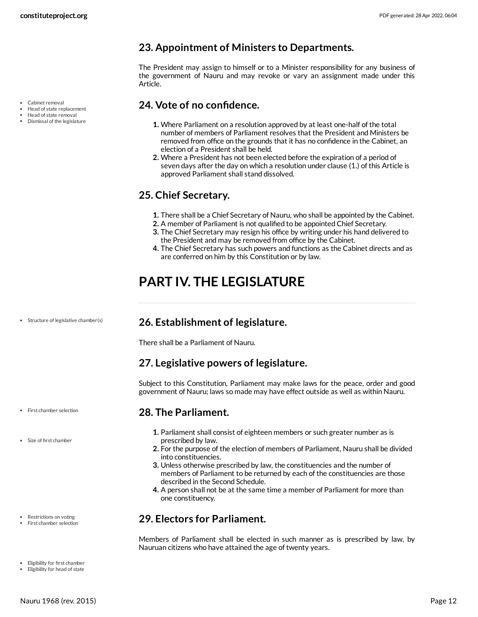- Cabinet removal
- Head of state replacement Head of state removal
- Dismissal of the legislature

<span id="page-11-0"></span>The President may assign to himself or to a Minister responsibility for any business of the government of Nauru and may revoke or vary an assignment made under this Article.

#### <span id="page-11-1"></span>**24. Vote of no confidence.**

- **1.** Where Parliament on a resolution approved by at least one-half of the total number of members of Parliament resolves that the President and Ministers be removed from office on the grounds that it has no confidence in the Cabinet, an election of a President shall be held.
- **2.** Where a President has not been elected before the expiration of a period of seven days after the day on which a resolution under clause (1.) of this Article is approved Parliament shall stand dissolved.

#### <span id="page-11-2"></span>**25. Chief Secretary.**

- **1.** There shall be a Chief Secretary of Nauru, who shall be appointed by the Cabinet.
- **2.** A member of Parliament is not qualified to be appointed Chief Secretary.
- **3.** The Chief Secretary may resign his office by writing under his hand delivered to the President and may be removed from office by the Cabinet.
- **4.** The Chief Secretary has such powers and functions as the Cabinet directs and as are conferred on him by this Constitution or by law.

# <span id="page-11-3"></span>**PART IV. THE LEGISLATURE**

#### <span id="page-11-4"></span>**26. Establishment of legislature.**

There shall be a Parliament of Nauru.

#### <span id="page-11-5"></span>**27. Legislative powers of legislature.**

Subject to this Constitution, Parliament may make laws for the peace, order and good government of Nauru; laws so made may have effect outside as well as within Nauru.

#### <span id="page-11-6"></span>**28. The Parliament.**

- **1.** Parliament shall consist of eighteen members or such greater number as is prescribed by law.
- **2.** For the purpose of the election of members of Parliament, Nauru shall be divided into constituencies.
- **3.** Unless otherwise prescribed by law, the constituencies and the number of members of Parliament to be returned by each of the constituencies are those described in the Second Schedule.
- **4.** A person shall not be at the same time a member of Parliament for more than one constituency.

# <span id="page-11-7"></span>**29. Electors for Parliament.**

<span id="page-11-8"></span>Members of Parliament shall be elected in such manner as is prescribed by law, by Nauruan citizens who have attained the age of twenty years.

First chamber selection

• Structure of legislative chamber(s)

Size of first chamber

• Restrictions on voting First chamber selection

Eligibility for first chamber Eligibility for head of state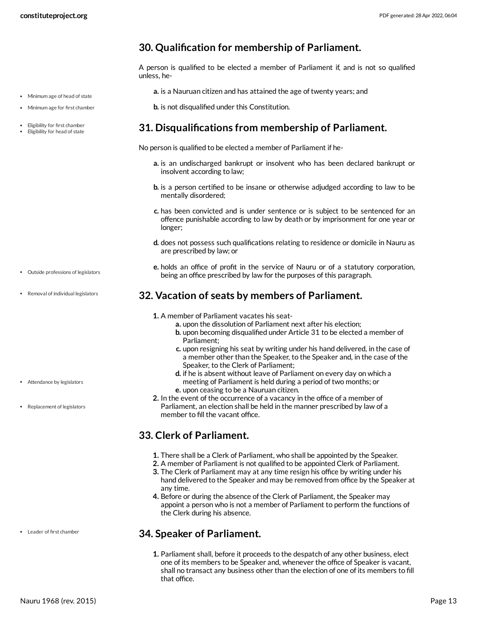### <span id="page-12-0"></span>**30. Qualification for membership of Parliament.**

<span id="page-12-5"></span>A person is qualified to be elected a member of Parliament if, and is not so qualified unless, he-

**a.** is a Nauruan citizen and has attained the age of twenty years; and

<span id="page-12-1"></span>**31. Disqualifications from membership of Parliament.**

- Minimum age of head of state
- Minimum age for first chamber
- Eligibility for first chamber
- Eligibility for head of state
- <span id="page-12-6"></span>No person is qualified to be elected a member of Parliament if he-

**b.** is not disqualified under this Constitution.

- **a.** is an undischarged bankrupt or insolvent who has been declared bankrupt or insolvent according to law;
- **b.** is a person certified to be insane or otherwise adjudged according to law to be mentally disordered;
- **c.** has been convicted and is under sentence or is subject to be sentenced for an offence punishable according to law by death or by imprisonment for one year or longer;
- **d.** does not possess such qualifications relating to residence or domicile in Nauru as are prescribed by law; or
- **e.** holds an office of profit in the service of Nauru or of a statutory corporation, being an office prescribed by law for the purposes of this paragraph.

#### <span id="page-12-2"></span>**32. Vacation of seats by members of Parliament.**

**1.** A member of Parliament vacates his seat-

- **a.** upon the dissolution of Parliament next after his election;
- **b.** upon becoming disqualified under Article 31 to be elected a member of Parliament;
- **c.** upon resigning his seat by writing under his hand delivered, in the case of a member other than the Speaker, to the Speaker and, in the case of the Speaker, to the Clerk of Parliament;
- **d.** if he is absent without leave of Parliament on every day on which a meeting of Parliament is held during a period of two months; or **e.** upon ceasing to be a Nauruan citizen.
- **2.** In the event of the occurrence of a vacancy in the office of a member of Parliament, an election shall be held in the manner prescribed by law of a member to fill the vacant office.

# <span id="page-12-3"></span>**33. Clerk of Parliament.**

- **1.** There shall be a Clerk of Parliament, who shall be appointed by the Speaker.
- **2.** A member of Parliament is not qualified to be appointed Clerk of Parliament.
- **3.** The Clerk of Parliament may at any time resign his office by writing under his hand delivered to the Speaker and may be removed from office by the Speaker at any time.
- **4.** Before or during the absence of the Clerk of Parliament, the Speaker may appoint a person who is not a member of Parliament to perform the functions of the Clerk during his absence.

#### <span id="page-12-4"></span>**34. Speaker of Parliament.**

**1.** Parliament shall, before it proceeds to the despatch of any other business, elect one of its members to be Speaker and, whenever the office of Speaker is vacant, shall no transact any business other than the election of one of its members to fill that office.

Attendance by legislators

Outside professions of legislators

Removal of individual legislators

Replacement of legislators

Leader of first chamber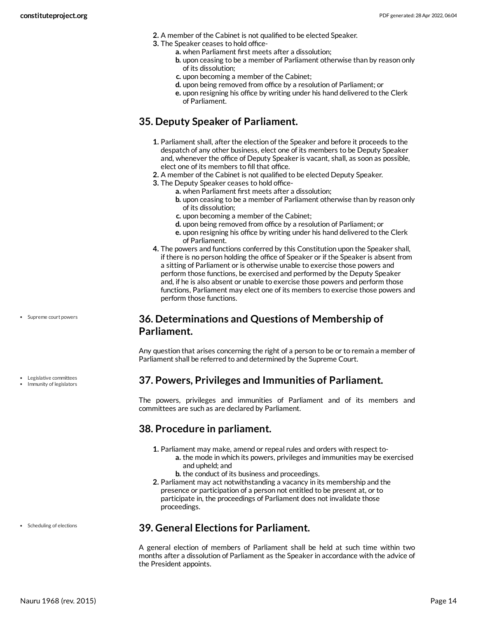- **2.** A member of the Cabinet is not qualified to be elected Speaker.
- **3.** The Speaker ceases to hold office
	- **a.** when Parliament first meets after a dissolution;
		- **b.** upon ceasing to be a member of Parliament otherwise than by reason only of its dissolution;
	- **c.** upon becoming a member of the Cabinet;
	- **d.** upon being removed from office by a resolution of Parliament; or
	- **e.** upon resigning his office by writing under his hand delivered to the Clerk of Parliament.

#### <span id="page-13-0"></span>**35. Deputy Speaker of Parliament.**

- **1.** Parliament shall, after the election of the Speaker and before it proceeds to the despatch of any other business, elect one of its members to be Deputy Speaker and, whenever the office of Deputy Speaker is vacant, shall, as soon as possible, elect one of its members to fill that office.
- **2.** A member of the Cabinet is not qualified to be elected Deputy Speaker.
- **3.** The Deputy Speaker ceases to hold office
	- **a.** when Parliament first meets after a dissolution;
	- **b.** upon ceasing to be a member of Parliament otherwise than by reason only of its dissolution;
	- **c.** upon becoming a member of the Cabinet;
	- **d.** upon being removed from office by a resolution of Parliament; or
	- **e.** upon resigning his office by writing under his hand delivered to the Clerk of Parliament.
- **4.** The powers and functions conferred by this Constitution upon the Speaker shall, if there is no person holding the office of Speaker or if the Speaker is absent from a sitting of Parliament or is otherwise unable to exercise those powers and perform those functions, be exercised and performed by the Deputy Speaker and, if he is also absent or unable to exercise those powers and perform those functions, Parliament may elect one of its members to exercise those powers and perform those functions.

#### <span id="page-13-1"></span>**36. Determinations and Questions of Membership of Parliament.**

Any question that arises concerning the right of a person to be or to remain a member of Parliament shall be referred to and determined by the Supreme Court.

#### <span id="page-13-2"></span>**37. Powers, Privileges and Immunities of Parliament.**

The powers, privileges and immunities of Parliament and of its members and committees are such as are declared by Parliament.

#### <span id="page-13-3"></span>**38. Procedure in parliament.**

- **1.** Parliament may make, amend or repeal rules and orders with respect to
	- **a.** the mode in which its powers, privileges and immunities may be exercised and upheld; and
		- **b.** the conduct of its business and proceedings.
- **2.** Parliament may act notwithstanding a vacancy in its membership and the presence or participation of a person not entitled to be present at, or to participate in, the proceedings of Parliament does not invalidate those proceedings.

#### <span id="page-13-4"></span>**39. General Elections for Parliament.**

A general election of members of Parliament shall be held at such time within two months after a dissolution of Parliament as the Speaker in accordance with the advice of the President appoints.

Supreme court powers

Legislative committees

• Immunity of legislators

• Scheduling of elections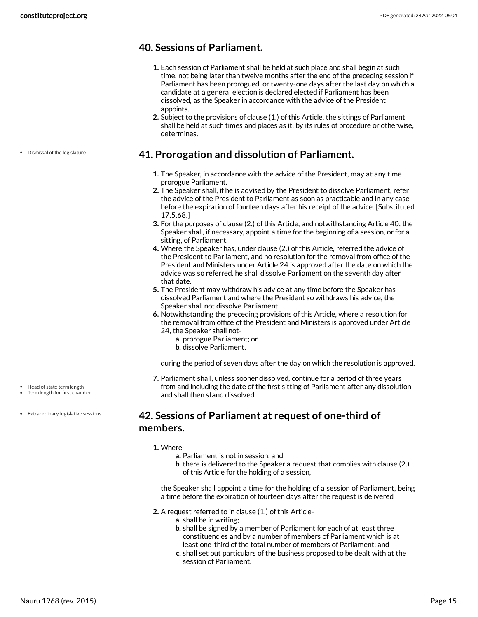# <span id="page-14-0"></span>**40. Sessions of Parliament.**

- **1.** Each session of Parliament shall be held at such place and shall begin at such time, not being later than twelve months after the end of the preceding session if Parliament has been prorogued, or twenty-one days after the last day on which a candidate at a general election is declared elected if Parliament has been dissolved, as the Speaker in accordance with the advice of the President appoints.
- **2.** Subject to the provisions of clause (1.) of this Article, the sittings of Parliament shall be held at such times and places as it, by its rules of procedure or otherwise, determines.

### <span id="page-14-1"></span>**41. Prorogation and dissolution of Parliament.**

- **1.** The Speaker, in accordance with the advice of the President, may at any time prorogue Parliament.
- **2.** The Speaker shall, if he is advised by the President to dissolve Parliament, refer the advice of the President to Parliament as soon as practicable and in any case before the expiration of fourteen days after his receipt of the advice. [Substituted 17.5.68.]
- **3.** For the purposes of clause (2.) of this Article, and notwithstanding Article 40, the Speaker shall, if necessary, appoint a time for the beginning of a session, or for a sitting, of Parliament.
- **4.** Where the Speaker has, under clause (2.) of this Article, referred the advice of the President to Parliament, and no resolution for the removal from office of the President and Ministers under Article 24 is approved after the date on which the advice was so referred, he shall dissolve Parliament on the seventh day after that date.
- **5.** The President may withdraw his advice at any time before the Speaker has dissolved Parliament and where the President so withdraws his advice, the Speaker shall not dissolve Parliament.
- **6.** Notwithstanding the preceding provisions of this Article, where a resolution for the removal from office of the President and Ministers is approved under Article 24, the Speaker shall not
	- **a.** prorogue Parliament; or
	- **b.** dissolve Parliament,

during the period of seven days after the day on which the resolution is approved.

**7.** Parliament shall, unless sooner dissolved, continue for a period of three years from and including the date of the first sitting of Parliament after any dissolution and shall then stand dissolved.

#### <span id="page-14-2"></span>**42. Sessions of Parliament at request of one-third of members.**

- **1.** Where
	- **a.** Parliament is not in session; and
	- **b.** there is delivered to the Speaker a request that complies with clause (2.) of this Article for the holding of a session,

the Speaker shall appoint a time for the holding of a session of Parliament, being a time before the expiration of fourteen days after the request is delivered

- **2.** A request referred to in clause (1.) of this Article
	- **a.** shall be in writing;
	- **b.** shall be signed by a member of Parliament for each of at least three constituencies and by a number of members of Parliament which is at least one-third of the total number of members of Parliament; and
	- **c.** shall set out particulars of the business proposed to be dealt with at the session of Parliament.

Dismissal of the legislature

- Head of state term length
- Term length for first chamber
- Extraordinary legislative sessions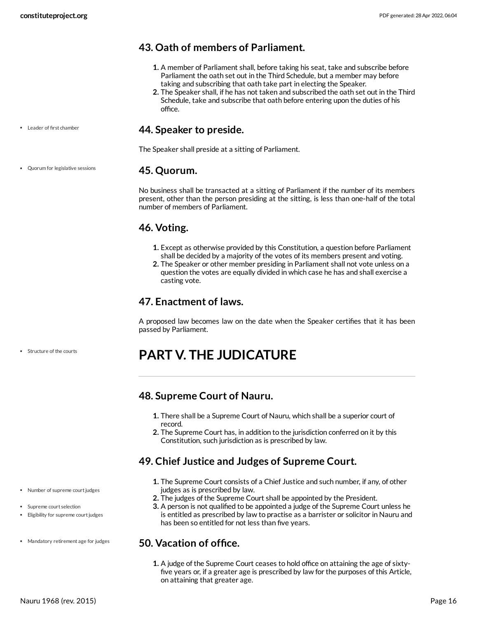# <span id="page-15-0"></span>**43. Oath of members of Parliament.**

- **1.** A member of Parliament shall, before taking his seat, take and subscribe before Parliament the oath set out in the Third Schedule, but a member may before taking and subscribing that oath take part in electing the Speaker.
- **2.** The Speaker shall, if he has not taken and subscribed the oath set out in the Third Schedule, take and subscribe that oath before entering upon the duties of his office.

#### <span id="page-15-1"></span>**44. Speaker to preside.**

<span id="page-15-2"></span>The Speaker shall preside at a sitting of Parliament.

#### **45. Quorum.**

No business shall be transacted at a sitting of Parliament if the number of its members present, other than the person presiding at the sitting, is less than one-half of the total number of members of Parliament.

#### <span id="page-15-3"></span>**46. Voting.**

- **1.** Except as otherwise provided by this Constitution, a question before Parliament shall be decided by a majority of the votes of its members present and voting.
- **2.** The Speaker or other member presiding in Parliament shall not vote unless on a question the votes are equally divided in which case he has and shall exercise a casting vote.

#### <span id="page-15-4"></span>**47. Enactment of laws.**

A proposed law becomes law on the date when the Speaker certifies that it has been passed by Parliament.

# <span id="page-15-5"></span>**PART V. THE JUDICATURE**

# <span id="page-15-6"></span>**48. Supreme Court of Nauru.**

- **1.** There shall be a Supreme Court of Nauru, which shall be a superior court of record.
- **2.** The Supreme Court has, in addition to the jurisdiction conferred on it by this Constitution, such jurisdiction as is prescribed by law.

# <span id="page-15-7"></span>**49. Chief Justice and Judges of Supreme Court.**

- **1.** The Supreme Court consists of a Chief Justice and such number, if any, of other judges as is prescribed by law.
- **2.** The judges of the Supreme Court shall be appointed by the President.
- **3.** A person is not qualified to be appointed a judge of the Supreme Court unless he is entitled as prescribed by law to practise as a barrister or solicitor in Nauru and has been so entitled for not less than five years.

# <span id="page-15-8"></span>**50. Vacation of office.**

**1.** A judge of the Supreme Court ceases to hold office on attaining the age of sixty five years or, if a greater age is prescribed by law for the purposes of this Article, on attaining that greater age.

# Leader of first chamber

Quorum for legislative sessions

Structure of the courts

- Number of supreme court judges
- Supreme court selection
- Eligibility for supreme court judges
- Mandatory retirement age for judges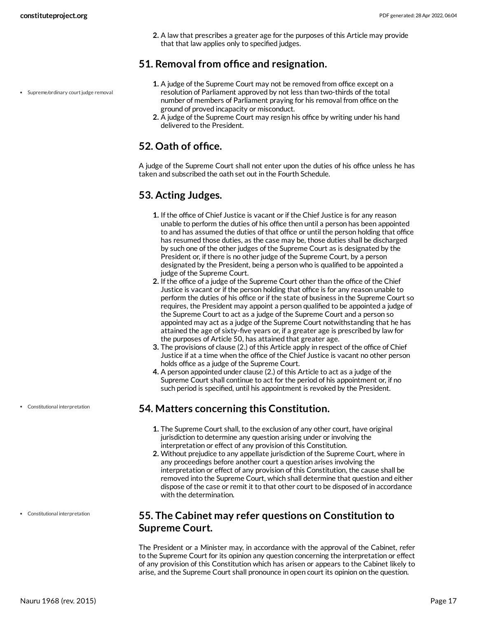**2.** A law that prescribes a greater age for the purposes of this Article may provide that that law applies only to specified judges.

### <span id="page-16-0"></span>**51. Removal from office and resignation.**

- **1.** A judge of the Supreme Court may not be removed from office except on a resolution of Parliament approved by not less than two-thirds of the total number of members of Parliament praying for his removal from office on the ground of proved incapacity or misconduct.
- **2.** A judge of the Supreme Court may resign his office by writing under his hand delivered to the President.

# <span id="page-16-1"></span>**52. Oath of office.**

A judge of the Supreme Court shall not enter upon the duties of his office unless he has taken and subscribed the oath set out in the Fourth Schedule.

#### <span id="page-16-2"></span>**53. Acting Judges.**

- **1.** If the office of Chief Justice is vacant or if the Chief Justice is for any reason unable to perform the duties of his office then until a person has been appointed to and has assumed the duties of that office or until the person holding that office has resumed those duties, as the case may be, those duties shall be discharged by such one of the other judges of the Supreme Court as is designated by the President or, if there is no other judge of the Supreme Court, by a person designated by the President, being a person who is qualified to be appointed a judge of the Supreme Court.
- **2.** If the office of a judge of the Supreme Court other than the office of the Chief Justice is vacant or if the person holding that office is for any reason unable to perform the duties of his office or if the state of business in the Supreme Court so requires, the President may appoint a person qualified to be appointed a judge of the Supreme Court to act as a judge of the Supreme Court and a person so appointed may act as a judge of the Supreme Court notwithstanding that he has attained the age of sixty-five years or, if a greater age is prescribed by law for the purposes of Article 50, has attained that greater age.
- **3.** The provisions of clause (2.) of this Article apply in respect of the office of Chief Justice if at a time when the office of the Chief Justice is vacant no other person holds office as a judge of the Supreme Court.
- **4.** A person appointed under clause (2.) of this Article to act as a judge of the Supreme Court shall continue to act for the period of his appointment or, if no such period is specified, until his appointment is revoked by the President.

#### <span id="page-16-3"></span>**54. Matters concerning this Constitution.**

- **1.** The Supreme Court shall, to the exclusion of any other court, have original jurisdiction to determine any question arising under or involving the interpretation or effect of any provision of this Constitution.
- **2.** Without prejudice to any appellate jurisdiction of the Supreme Court, where in any proceedings before another court a question arises involving the interpretation or effect of any provision of this Constitution, the cause shall be removed into the Supreme Court, which shall determine that question and either dispose of the case or remit it to that other court to be disposed of in accordance with the determination.

#### <span id="page-16-4"></span>**55. The Cabinet may refer questions on Constitution to Supreme Court.**

The President or a Minister may, in accordance with the approval of the Cabinet, refer to the Supreme Court for its opinion any question concerning the interpretation or effect of any provision of this Constitution which has arisen or appears to the Cabinet likely to arise, and the Supreme Court shall pronounce in open court its opinion on the question.

• Supreme/ordinary court judge removal

Constitutional interpretation

Constitutional interpretation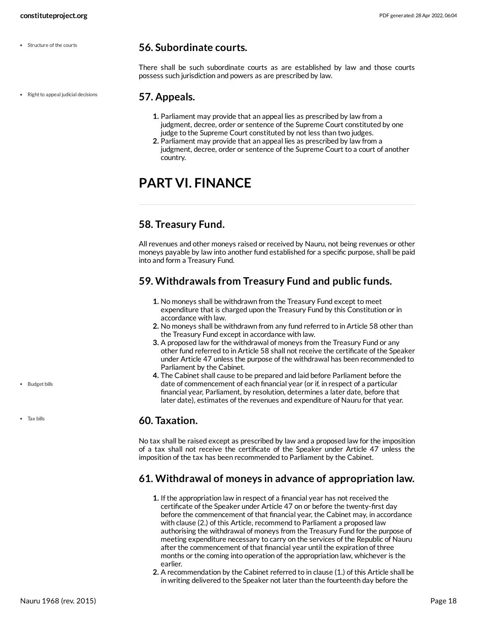- Structure of the courts
- Right to appeal judicial decisions

#### <span id="page-17-0"></span>**56. Subordinate courts.**

There shall be such subordinate courts as are established by law and those courts possess such jurisdiction and powers as are prescribed by law.

#### <span id="page-17-1"></span>**57. Appeals.**

- **1.** Parliament may provide that an appeal lies as prescribed by law from a judgment, decree, order or sentence of the Supreme Court constituted by one judge to the Supreme Court constituted by not less than two judges.
- **2.** Parliament may provide that an appeal lies as prescribed by law from a judgment, decree, order or sentence of the Supreme Court to a court of another country.

# <span id="page-17-2"></span>**PART VI. FINANCE**

#### <span id="page-17-3"></span>**58. Treasury Fund.**

All revenues and other moneys raised or received by Nauru, not being revenues or other moneys payable by law into another fund established for a specific purpose, shall be paid into and form a Treasury Fund.

#### <span id="page-17-4"></span>**59. Withdrawals from Treasury Fund and public funds.**

- **1.** No moneys shall be withdrawn from the Treasury Fund except to meet expenditure that is charged upon the Treasury Fund by this Constitution or in accordance with law.
- **2.** No moneys shall be withdrawn from any fund referred to in Article 58 other than the Treasury Fund except in accordance with law.
- **3.** A proposed law for the withdrawal of moneys from the Treasury Fund or any other fund referred to in Article 58 shall not receive the certificate of the Speaker under Article 47 unless the purpose of the withdrawal has been recommended to Parliament by the Cabinet.
- **4.** The Cabinet shall cause to be prepared and laid before Parliament before the date of commencement of each financial year (or if, in respect of a particular financial year, Parliament, by resolution, determines a later date, before that later date), estimates of the revenues and expenditure of Nauru for that year.

#### <span id="page-17-5"></span>**60. Taxation.**

No tax shall be raised except as prescribed by law and a proposed law for the imposition of a tax shall not receive the certificate of the Speaker under Article 47 unless the imposition of the tax has been recommended to Parliament by the Cabinet.

#### <span id="page-17-6"></span>**61. Withdrawal of moneys in advance of appropriation law.**

- **1.** If the appropriation law in respect of a financial year has not received the certificate of the Speaker under Article 47 on or before the twenty-first day before the commencement of that financial year, the Cabinet may, in accordance with clause (2.) of this Article, recommend to Parliament a proposed law authorising the withdrawal of moneys from the Treasury Fund for the purpose of meeting expenditure necessary to carry on the services of the Republic of Nauru after the commencement of that financial year until the expiration of three months or the coming into operation of the appropriation law, whichever is the earlier.
- **2.** A recommendation by the Cabinet referred to in clause (1.) of this Article shall be in writing delivered to the Speaker not later than the fourteenth day before the

• Budget bills

Tax bills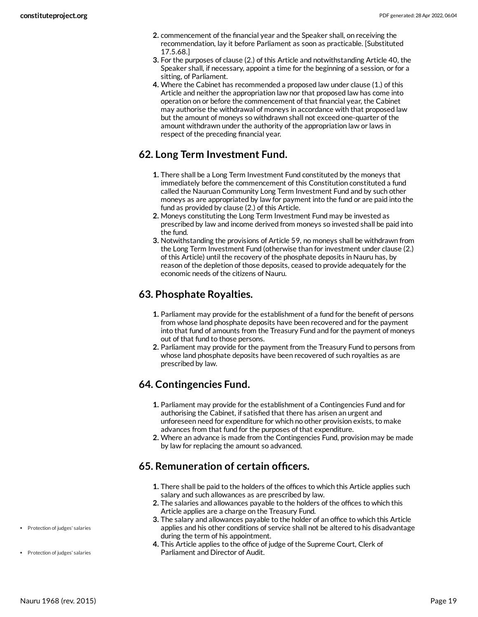- **2.** commencement of the financial year and the Speaker shall, on receiving the recommendation, lay it before Parliament as soon as practicable. [Substituted 17.5.68.]
- **3.** For the purposes of clause (2.) of this Article and notwithstanding Article 40, the Speaker shall, if necessary, appoint a time for the beginning of a session, or for a sitting, of Parliament.
- **4.** Where the Cabinet has recommended a proposed law under clause (1.) of this Article and neither the appropriation law nor that proposed law has come into operation on or before the commencement of that financial year, the Cabinet may authorise the withdrawal of moneys in accordance with that proposed law but the amount of moneys so withdrawn shall not exceed one-quarter of the amount withdrawn under the authority of the appropriation law or laws in respect of the preceding financial year.

# <span id="page-18-0"></span>**62. Long Term Investment Fund.**

- **1.** There shall be a Long Term Investment Fund constituted by the moneys that immediately before the commencement of this Constitution constituted a fund called the Nauruan Community Long Term Investment Fund and by such other moneys as are appropriated by law for payment into the fund or are paid into the fund as provided by clause (2.) of this Article.
- **2.** Moneys constituting the Long Term Investment Fund may be invested as prescribed by law and income derived from moneys so invested shall be paid into the fund.
- **3.** Notwithstanding the provisions of Article 59, no moneys shall be withdrawn from the Long Term Investment Fund (otherwise than for investment under clause (2.) of this Article) until the recovery of the phosphate deposits in Nauru has, by reason of the depletion of those deposits, ceased to provide adequately for the economic needs of the citizens of Nauru.

# <span id="page-18-1"></span>**63. Phosphate Royalties.**

- **1.** Parliament may provide for the establishment of a fund for the benefit of persons from whose land phosphate deposits have been recovered and for the payment into that fund of amounts from the Treasury Fund and for the payment of moneys out of that fund to those persons.
- **2.** Parliament may provide for the payment from the Treasury Fund to persons from whose land phosphate deposits have been recovered of such royalties as are prescribed by law.

# <span id="page-18-2"></span>**64. Contingencies Fund.**

- **1.** Parliament may provide for the establishment of a Contingencies Fund and for authorising the Cabinet, if satisfied that there has arisen an urgent and unforeseen need for expenditure for which no other provision exists, to make advances from that fund for the purposes of that expenditure.
- **2.** Where an advance is made from the Contingencies Fund, provision may be made by law for replacing the amount so advanced.

# <span id="page-18-3"></span>**65. Remuneration of certain officers.**

- **1.** There shall be paid to the holders of the offices to which this Article applies such salary and such allowances as are prescribed by law.
- **2.** The salaries and allowances payable to the holders of the offices to which this Article applies are a charge on the Treasury Fund.
- **3.** The salary and allowances payable to the holder of an office to which this Article applies and his other conditions of service shall not be altered to his disadvantage during the term of his appointment.
- **4.** This Article applies to the office of judge of the Supreme Court, Clerk of Parliament and Director of Audit.

• Protection of judges' salaries

• Protection of judges' salaries

Nauru 1968 (rev. 2015) Page 19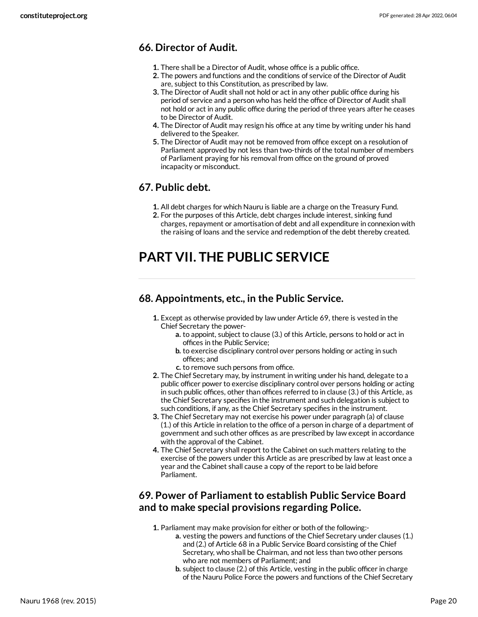# <span id="page-19-0"></span>**66. Director of Audit.**

- **1.** There shall be a Director of Audit, whose office is a public office.
- **2.** The powers and functions and the conditions of service of the Director of Audit are, subject to this Constitution, as prescribed by law.
- **3.** The Director of Audit shall not hold or act in any other public office during his period of service and a person who has held the office of Director of Audit shall not hold or act in any public office during the period of three years after he ceases to be Director of Audit.
- **4.** The Director of Audit may resign his office at any time by writing under his hand delivered to the Speaker.
- **5.** The Director of Audit may not be removed from office except on a resolution of Parliament approved by not less than two-thirds of the total number of members of Parliament praying for his removal from office on the ground of proved incapacity or misconduct.

# <span id="page-19-1"></span>**67. Public debt.**

- **1.** All debt charges for which Nauru is liable are a charge on the Treasury Fund.
- **2.** For the purposes of this Article, debt charges include interest, sinking fund charges, repayment or amortisation of debt and all expenditure in connexion with the raising of loans and the service and redemption of the debt thereby created.

# <span id="page-19-2"></span>**PART VII. THE PUBLIC SERVICE**

# <span id="page-19-3"></span>**68. Appointments, etc., in the Public Service.**

- **1.** Except as otherwise provided by law under Article 69, there is vested in the Chief Secretary the power
	- **a.** to appoint, subject to clause (3.) of this Article, persons to hold or act in offices in the Public Service;
	- **b.** to exercise disciplinary control over persons holding or acting in such offices; and
	- **c.** to remove such persons from office.
- **2.** The Chief Secretary may, by instrument in writing under his hand, delegate to a public officer power to exercise disciplinary control over persons holding or acting in such public offices, other than offices referred to in clause (3.) of this Article, as the Chief Secretary specifies in the instrument and such delegation is subject to such conditions, if any, as the Chief Secretary specifies in the instrument.
- **3.** The Chief Secretary may not exercise his power under paragraph (a) of clause (1.) of this Article in relation to the office of a person in charge of a department of government and such other offices as are prescribed by law except in accordance with the approval of the Cabinet.
- **4.** The Chief Secretary shall report to the Cabinet on such matters relating to the exercise of the powers under this Article as are prescribed by law at least once a year and the Cabinet shall cause a copy of the report to be laid before Parliament.

# <span id="page-19-4"></span>**69. Power of Parliament to establish Public Service Board and to make special provisions regarding Police.**

- **1.** Parliament may make provision for either or both of the following:
	- **a.** vesting the powers and functions of the Chief Secretary under clauses (1.) and (2.) of Article 68 in a Public Service Board consisting of the Chief Secretary, who shall be Chairman, and not less than two other persons who are not members of Parliament; and
	- **b.** subject to clause (2.) of this Article, vesting in the public officer in charge of the Nauru Police Force the powers and functions of the Chief Secretary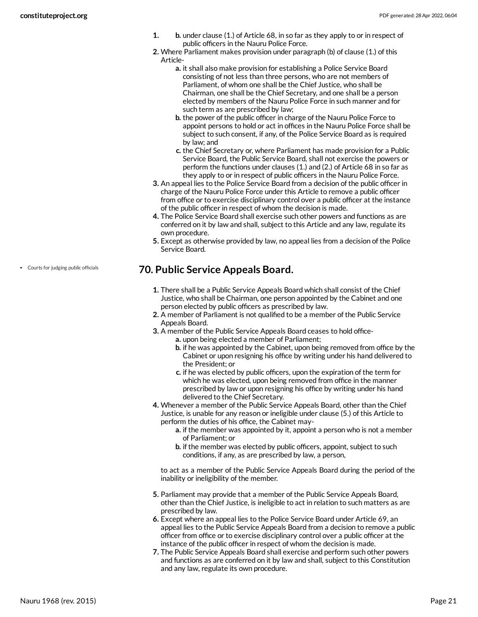- **1. b.** under clause (1.) of Article 68, in so far as they apply to or in respect of public officers in the Nauru Police Force.
- **2.** Where Parliament makes provision under paragraph (b) of clause (1.) of this Article
	- **a.** it shall also make provision for establishing a Police Service Board consisting of not less than three persons, who are not members of Parliament, of whom one shall be the Chief Justice, who shall be Chairman, one shall be the Chief Secretary, and one shall be a person elected by members of the Nauru Police Force in such manner and for such term as are prescribed by law;
	- **b.** the power of the public officer in charge of the Nauru Police Force to appoint persons to hold or act in offices in the Nauru Police Force shall be subject to such consent, if any, of the Police Service Board as is required by law; and
	- **c.** the Chief Secretary or, where Parliament has made provision for a Public Service Board, the Public Service Board, shall not exercise the powers or perform the functions under clauses (1.) and (2.) of Article 68 in so far as they apply to or in respect of public officers in the Nauru Police Force.
- **3.** An appeal lies to the Police Service Board from a decision of the public officer in charge of the Nauru Police Force under this Article to remove a public officer from office or to exercise disciplinary control over a public officer at the instance of the public officer in respect of whom the decision is made.
- **4.** The Police Service Board shall exercise such other powers and functions as are conferred on it by law and shall, subject to this Article and any law, regulate its own procedure.
- **5.** Except as otherwise provided by law, no appeal lies from a decision of the Police Service Board.

#### <span id="page-20-0"></span>**70. Public Service Appeals Board.**

- **1.** There shall be a Public Service Appeals Board which shall consist of the Chief Justice, who shall be Chairman, one person appointed by the Cabinet and one person elected by public officers as prescribed by law.
- **2.** A member of Parliament is not qualified to be a member of the Public Service Appeals Board.
- **3.** A member of the Public Service Appeals Board ceases to hold office
	- **a.** upon being elected a member of Parliament;
		- **b.** if he was appointed by the Cabinet, upon being removed from office by the Cabinet or upon resigning his office by writing under his hand delivered to the President; or
		- **c.** if he was elected by public officers, upon the expiration of the term for which he was elected, upon being removed from office in the manner prescribed by law or upon resigning his office by writing under his hand delivered to the Chief Secretary.
- **4.** Whenever a member of the Public Service Appeals Board, other than the Chief Justice, is unable for any reason or ineligible under clause (5.) of this Article to perform the duties of his office, the Cabinet may
	- **a.** if the member was appointed by it, appoint a person who is not a member of Parliament; or
	- **b.** if the member was elected by public officers, appoint, subject to such conditions, if any, as are prescribed by law, a person,

to act as a member of the Public Service Appeals Board during the period of the inability or ineligibility of the member.

- **5.** Parliament may provide that a member of the Public Service Appeals Board, other than the Chief Justice, is ineligible to act in relation to such matters as are prescribed by law.
- **6.** Except where an appeal lies to the Police Service Board under Article 69, an appeal lies to the Public Service Appeals Board from a decision to remove a public officer from office or to exercise disciplinary control over a public officer at the instance of the public officer in respect of whom the decision is made.
- **7.** The Public Service Appeals Board shall exercise and perform such other powers and functions as are conferred on it by law and shall, subject to this Constitution and any law, regulate its own procedure.

Courts for judging public officials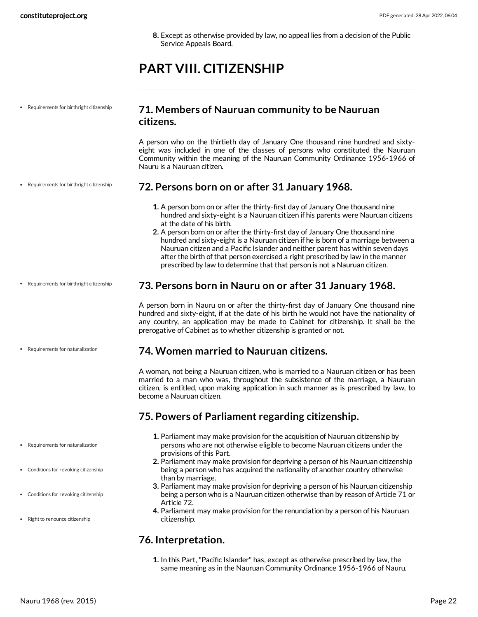**8.** Except as otherwise provided by law, no appeal lies from a decision of the Public Service Appeals Board.

**3.** Parliament may make provision for depriving a person of his Nauruan citizenship being a person who is a Nauruan citizen otherwise than by reason of Article 71 or

**4.** Parliament may make provision for the renunciation by a person of his Nauruan

**1.** In this Part, "Pacific Islander" has, except as otherwise prescribed by law, the same meaning as in the Nauruan Community Ordinance 1956-1966 of Nauru.

# <span id="page-21-2"></span><span id="page-21-1"></span><span id="page-21-0"></span>**PART VIII. CITIZENSHIP**

| Requirements for birthright citizenship<br>٠ | 71. Members of Nauruan community to be Nauruan<br>citizens.                                                                                                                                                                                                                                                                                                                                                                                                                                                                                     |
|----------------------------------------------|-------------------------------------------------------------------------------------------------------------------------------------------------------------------------------------------------------------------------------------------------------------------------------------------------------------------------------------------------------------------------------------------------------------------------------------------------------------------------------------------------------------------------------------------------|
|                                              | A person who on the thirtieth day of January One thousand nine hundred and sixty-<br>eight was included in one of the classes of persons who constituted the Nauruan<br>Community within the meaning of the Nauruan Community Ordinance 1956-1966 of<br>Nauru is a Nauruan citizen.                                                                                                                                                                                                                                                             |
| Requirements for birthright citizenship      | 72. Persons born on or after 31 January 1968.                                                                                                                                                                                                                                                                                                                                                                                                                                                                                                   |
|                                              | 1. A person born on or after the thirty-first day of January One thousand nine<br>hundred and sixty-eight is a Nauruan citizen if his parents were Nauruan citizens<br>at the date of his birth.<br>2. A person born on or after the thirty-first day of January One thousand nine<br>hundred and sixty-eight is a Nauruan citizen if he is born of a marriage between a<br>Nauruan citizen and a Pacific Islander and neither parent has within seven days<br>after the birth of that person exercised a right prescribed by law in the manner |
| Requirements for birthright citizenship      | prescribed by law to determine that that person is not a Nauruan citizen.                                                                                                                                                                                                                                                                                                                                                                                                                                                                       |
|                                              | 73. Persons born in Nauru on or after 31 January 1968.                                                                                                                                                                                                                                                                                                                                                                                                                                                                                          |
|                                              | A person born in Nauru on or after the thirty-first day of January One thousand nine<br>hundred and sixty-eight, if at the date of his birth he would not have the nationality of<br>any country, an application may be made to Cabinet for citizenship. It shall be the<br>prerogative of Cabinet as to whether citizenship is granted or not.                                                                                                                                                                                                 |
| Requirements for naturalization              | 74. Women married to Nauruan citizens.                                                                                                                                                                                                                                                                                                                                                                                                                                                                                                          |
|                                              | A woman, not being a Nauruan citizen, who is married to a Nauruan citizen or has been<br>married to a man who was, throughout the subsistence of the marriage, a Nauruan<br>citizen, is entitled, upon making application in such manner as is prescribed by law, to<br>become a Nauruan citizen.                                                                                                                                                                                                                                               |
|                                              | 75. Powers of Parliament regarding citizenship.                                                                                                                                                                                                                                                                                                                                                                                                                                                                                                 |
| • Requirements for naturalization            | 1. Parliament may make provision for the acquisition of Nauruan citizenship by<br>persons who are not otherwise eligible to become Nauruan citizens under the<br>provisions of this Part.                                                                                                                                                                                                                                                                                                                                                       |
| • Conditions for revoking citizenship        | 2. Parliament may make provision for depriving a person of his Nauruan citizenship<br>being a person who has acquired the nationality of another country otherwise                                                                                                                                                                                                                                                                                                                                                                              |

- Conditions for revoking citizenship
- Right to renounce citizenship
	-

<span id="page-21-5"></span><span id="page-21-4"></span><span id="page-21-3"></span>than by marriage.

Article 72.

citizenship.

<span id="page-21-6"></span>**76. Interpretation.**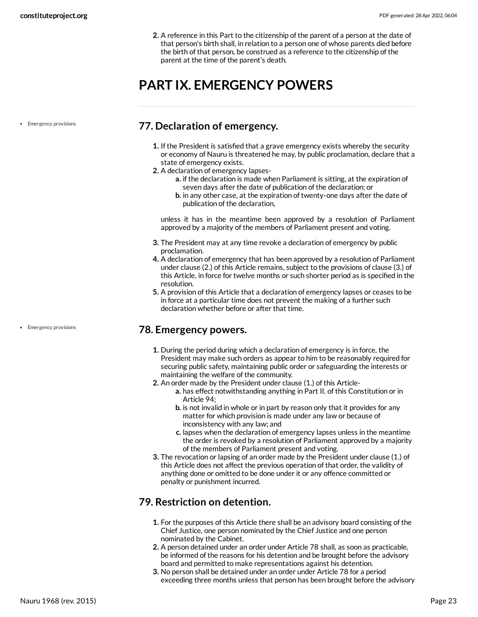**2.** A reference in this Part to the citizenship of the parent of a person at the date of that person's birth shall, in relation to a person one of whose parents died before the birth of that person, be construed as a reference to the citizenship of the parent at the time of the parent's death.

# <span id="page-22-0"></span>**PART IX. EMERGENCY POWERS**

• Emergency provisions

#### <span id="page-22-1"></span>**77. Declaration of emergency.**

- **1.** If the President is satisfied that a grave emergency exists whereby the security or economy of Nauru is threatened he may, by public proclamation, declare that a state of emergency exists.
- **2.** A declaration of emergency lapses
	- **a.** if the declaration is made when Parliament is sitting, at the expiration of seven days after the date of publication of the declaration; or
	- **b.** in any other case, at the expiration of twenty-one days after the date of publication of the declaration,

unless it has in the meantime been approved by a resolution of Parliament approved by a majority of the members of Parliament present and voting.

- **3.** The President may at any time revoke a declaration of emergency by public proclamation.
- **4.** A declaration of emergency that has been approved by a resolution of Parliament under clause (2.) of this Article remains, subject to the provisions of clause (3.) of this Article, in force for twelve months or such shorter period as is specified in the resolution.
- **5.** A provision of this Article that a declaration of emergency lapses or ceases to be in force at a particular time does not prevent the making of a further such declaration whether before or after that time.

#### <span id="page-22-2"></span>**78. Emergency powers.**

- **1.** During the period during which a declaration of emergency is in force, the President may make such orders as appear to him to be reasonably required for securing public safety, maintaining public order or safeguarding the interests or maintaining the welfare of the community.
- **2.** An order made by the President under clause (1.) of this Article
	- **a.** has effect notwithstanding anything in Part II. of this Constitution or in Article 94;
	- **b.** is not invalid in whole or in part by reason only that it provides for any matter for which provision is made under any law or because of inconsistency with any law; and
	- **c.** lapses when the declaration of emergency lapses unless in the meantime the order is revoked by a resolution of Parliament approved by a majority of the members of Parliament present and voting.
- **3.** The revocation or lapsing of an order made by the President under clause (1.) of this Article does not affect the previous operation of that order, the validity of anything done or omitted to be done under it or any offence committed or penalty or punishment incurred.

# <span id="page-22-3"></span>**79. Restriction on detention.**

- **1.** For the purposes of this Article there shall be an advisory board consisting of the Chief Justice, one person nominated by the Chief Justice and one person nominated by the Cabinet.
- **2.** A person detained under an order under Article 78 shall, as soon as practicable, be informed of the reasons for his detention and be brought before the advisory board and permitted to make representations against his detention.
- **3.** No person shall be detained under an order under Article 78 for a period exceeding three months unless that person has been brought before the advisory

• Emergency provisions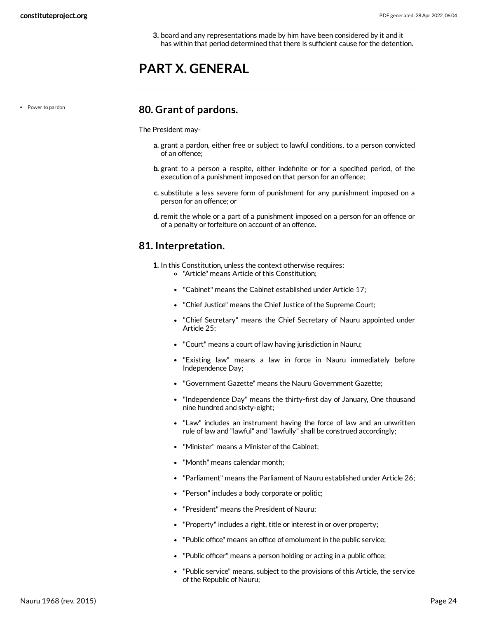**3.** board and any representations made by him have been considered by it and it has within that period determined that there is sufficient cause for the detention.

# <span id="page-23-0"></span>**PART X. GENERAL**

• Power to pardon

#### <span id="page-23-1"></span>**80. Grant of pardons.**

The President may-

- **a.** grant a pardon, either free or subject to lawful conditions, to a person convicted of an offence;
- **b.** grant to a person a respite, either indefinite or for a specified period, of the execution of a punishment imposed on that person for an offence;
- **c.** substitute a less severe form of punishment for any punishment imposed on a person for an offence; or
- **d.** remit the whole or a part of a punishment imposed on a person for an offence or of a penalty or forfeiture on account of an offence.

#### <span id="page-23-2"></span>**81. Interpretation.**

**1.** In this Constitution, unless the context otherwise requires:

- "Article" means Article of this Constitution;
- "Cabinet" means the Cabinet established under Article 17;
- "Chief Justice" means the Chief Justice of the Supreme Court;
- "Chief Secretary" means the Chief Secretary of Nauru appointed under Article 25;
- "Court" means a court of law having jurisdiction in Nauru;
- "Existing law" means a law in force in Nauru immediately before Independence Day;
- "Government Gazette" means the Nauru Government Gazette;
- "Independence Day" means the thirty-first day of January, One thousand nine hundred and sixty-eight;
- "Law" includes an instrument having the force of law and an unwritten rule of law and "lawful" and "lawfully" shall be construed accordingly;
- "Minister" means a Minister of the Cabinet;
- "Month" means calendar month;
- "Parliament" means the Parliament of Nauru established under Article 26;
- "Person" includes a body corporate or politic;
- "President" means the President of Nauru;
- "Property" includes a right, title or interest in or over property;
- "Public office" means an office of emolument in the public service;
- "Public officer" means a person holding or acting in a public office;
- "Public service" means, subject to the provisions of this Article, the service of the Republic of Nauru;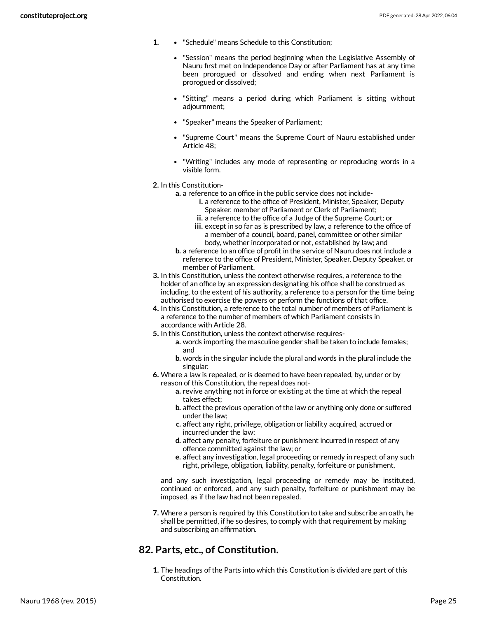- **1.** "Schedule" means Schedule to this Constitution;
	- "Session" means the period beginning when the Legislative Assembly of Nauru first met on Independence Day or after Parliament has at any time been prorogued or dissolved and ending when next Parliament is prorogued or dissolved;
	- "Sitting" means a period during which Parliament is sitting without adjournment;
	- "Speaker" means the Speaker of Parliament;
	- "Supreme Court" means the Supreme Court of Nauru established under Article 48;
	- "Writing" includes any mode of representing or reproducing words in a visible form.
- **2.** In this Constitution
	- **a.** a reference to an office in the public service does not include
		- **i.** a reference to the office of President, Minister, Speaker, Deputy Speaker, member of Parliament or Clerk of Parliament;
		- **ii.** a reference to the office of a Judge of the Supreme Court; or
		- **iii.** except in so far as is prescribed by law, a reference to the office of a member of a council, board, panel, committee or other similar body, whether incorporated or not, established by law; and
	- **b.** a reference to an office of profit in the service of Nauru does not include a reference to the office of President, Minister, Speaker, Deputy Speaker, or member of Parliament.
- **3.** In this Constitution, unless the context otherwise requires, a reference to the holder of an office by an expression designating his office shall be construed as including, to the extent of his authority, a reference to a person for the time being authorised to exercise the powers or perform the functions of that office.
- **4.** In this Constitution, a reference to the total number of members of Parliament is a reference to the number of members of which Parliament consists in accordance with Article 28.
- **5.** In this Constitution, unless the context otherwise requires
	- **a.** words importing the masculine gender shall be taken to include females; and
		- **b.** words in the singular include the plural and words in the plural include the singular.
- **6.** Where a law is repealed, or is deemed to have been repealed, by, under or by reason of this Constitution, the repeal does not
	- **a.** revive anything not in force or existing at the time at which the repeal takes effect;
	- **b.** affect the previous operation of the law or anything only done or suffered under the law;
	- **c.** affect any right, privilege, obligation or liability acquired, accrued or incurred under the law;
	- **d.** affect any penalty, forfeiture or punishment incurred in respect of any offence committed against the law; or
	- **e.** affect any investigation, legal proceeding or remedy in respect of any such right, privilege, obligation, liability, penalty, forfeiture or punishment,

and any such investigation, legal proceeding or remedy may be instituted, continued or enforced, and any such penalty, forfeiture or punishment may be imposed, as if the law had not been repealed.

**7.** Where a person is required by this Constitution to take and subscribe an oath, he shall be permitted, if he so desires, to comply with that requirement by making and subscribing an affirmation.

#### <span id="page-24-0"></span>**82. Parts, etc., of Constitution.**

**1.** The headings of the Parts into which this Constitution is divided are part of this Constitution.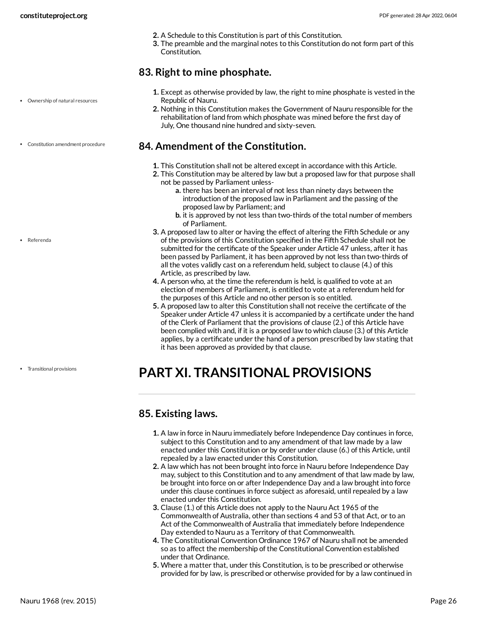- **2.** A Schedule to this Constitution is part of this Constitution.
- **3.** The preamble and the marginal notes to this Constitution do not form part of this Constitution.

# <span id="page-25-3"></span>**83. Right to mine phosphate.**

- **1.** Except as otherwise provided by law, the right to mine phosphate is vested in the Republic of Nauru.
- **2.** Nothing in this Constitution makes the Government of Nauru responsible for the rehabilitation of land from which phosphate was mined before the first day of July, One thousand nine hundred and sixty-seven.

#### <span id="page-25-0"></span>**84. Amendment of the Constitution.**

- **1.** This Constitution shall not be altered except in accordance with this Article.
- **2.** This Constitution may be altered by law but a proposed law for that purpose shall not be passed by Parliament unless
	- **a.** there has been an interval of not less than ninety days between the introduction of the proposed law in Parliament and the passing of the proposed law by Parliament; and
	- **b.** it is approved by not less than two-thirds of the total number of members of Parliament.
- **3.** A proposed law to alter or having the effect of altering the Fifth Schedule or any of the provisions of this Constitution specified in the Fifth Schedule shall not be submitted for the certificate of the Speaker under Article 47 unless, after it has been passed by Parliament, it has been approved by not less than two-thirds of all the votes validly cast on a referendum held, subject to clause (4.) of this Article, as prescribed by law.
- **4.** A person who, at the time the referendum is held, is qualified to vote at an election of members of Parliament, is entitled to vote at a referendum held for the purposes of this Article and no other person is so entitled.
- **5.** A proposed law to alter this Constitution shall not receive the certificate of the Speaker under Article 47 unless it is accompanied by a certificate under the hand of the Clerk of Parliament that the provisions of clause (2.) of this Article have been complied with and, if it is a proposed law to which clause (3.) of this Article applies, by a certificate under the hand of a person prescribed by law stating that it has been approved as provided by that clause.

# <span id="page-25-1"></span>**PART XI. TRANSITIONAL PROVISIONS**

# <span id="page-25-2"></span>**85. Existing laws.**

- **1.** A law in force in Nauru immediately before Independence Day continues in force, subject to this Constitution and to any amendment of that law made by a law enacted under this Constitution or by order under clause (6.) of this Article, until repealed by a law enacted under this Constitution.
- **2.** A law which has not been brought into force in Nauru before Independence Day may, subject to this Constitution and to any amendment of that law made by law, be brought into force on or after Independence Day and a law brought into force under this clause continues in force subject as aforesaid, until repealed by a law enacted under this Constitution.
- **3.** Clause (1.) of this Article does not apply to the Nauru Act 1965 of the Commonwealth of Australia, other than sections 4 and 53 of that Act, or to an Act of the Commonwealth of Australia that immediately before Independence Day extended to Nauru as a Territory of that Commonwealth.
- **4.** The Constitutional Convention Ordinance 1967 of Nauru shall not be amended so as to affect the membership of the Constitutional Convention established under that Ordinance.
- **5.** Where a matter that, under this Constitution, is to be prescribed or otherwise provided for by law, is prescribed or otherwise provided for by a law continued in
- Ownership of natural resources
- Constitution amendment procedure

Referenda

Transitional provisions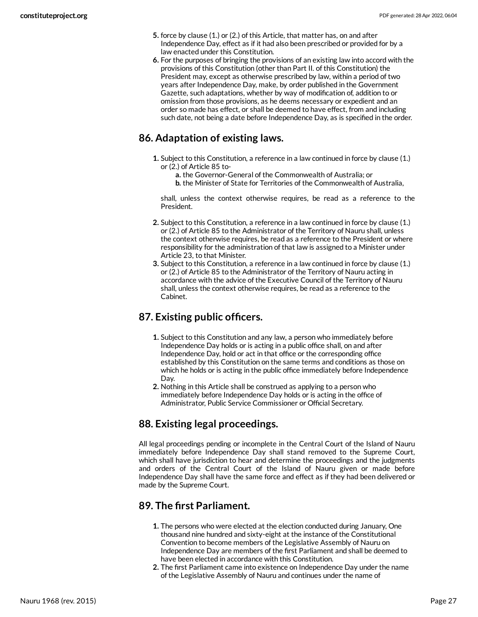- **5.** force by clause (1.) or (2.) of this Article, that matter has, on and after Independence Day, effect as if it had also been prescribed or provided for by a law enacted under this Constitution.
- **6.** For the purposes of bringing the provisions of an existing law into accord with the provisions of this Constitution (other than Part II. of this Constitution) the President may, except as otherwise prescribed by law, within a period of two years after Independence Day, make, by order published in the Government Gazette, such adaptations, whether by way of modification of, addition to or omission from those provisions, as he deems necessary or expedient and an order so made has effect, or shall be deemed to have effect, from and including such date, not being a date before Independence Day, as is specified in the order.

# <span id="page-26-0"></span>**86. Adaptation of existing laws.**

- **1.** Subject to this Constitution, a reference in a law continued in force by clause (1.) or (2.) of Article 85 to
	- **a.** the Governor-General of the Commonwealth of Australia; or
	- **b.** the Minister of State for Territories of the Commonwealth of Australia,

shall, unless the context otherwise requires, be read as a reference to the President.

- **2.** Subject to this Constitution, a reference in a law continued in force by clause (1.) or (2.) of Article 85 to the Administrator of the Territory of Nauru shall, unless the context otherwise requires, be read as a reference to the President or where responsibility for the administration of that law is assigned to a Minister under Article 23, to that Minister.
- **3.** Subject to this Constitution, a reference in a law continued in force by clause (1.) or (2.) of Article 85 to the Administrator of the Territory of Nauru acting in accordance with the advice of the Executive Council of the Territory of Nauru shall, unless the context otherwise requires, be read as a reference to the Cabinet.

# <span id="page-26-1"></span>**87. Existing public officers.**

- **1.** Subject to this Constitution and any law, a person who immediately before Independence Day holds or is acting in a public office shall, on and after Independence Day, hold or act in that office or the corresponding office established by this Constitution on the same terms and conditions as those on which he holds or is acting in the public office immediately before Independence Day.
- **2.** Nothing in this Article shall be construed as applying to a person who immediately before Independence Day holds or is acting in the office of Administrator, Public Service Commissioner or Official Secretary.

# <span id="page-26-2"></span>**88. Existing legal proceedings.**

All legal proceedings pending or incomplete in the Central Court of the Island of Nauru immediately before Independence Day shall stand removed to the Supreme Court, which shall have jurisdiction to hear and determine the proceedings and the judgments and orders of the Central Court of the Island of Nauru given or made before Independence Day shall have the same force and effect as if they had been delivered or made by the Supreme Court.

# <span id="page-26-3"></span>**89. The first Parliament.**

- **1.** The persons who were elected at the election conducted during January, One thousand nine hundred and sixty-eight at the instance of the Constitutional Convention to become members of the Legislative Assembly of Nauru on Independence Day are members of the first Parliament and shall be deemed to have been elected in accordance with this Constitution.
- **2.** The first Parliament came into existence on Independence Day under the name of the Legislative Assembly of Nauru and continues under the name of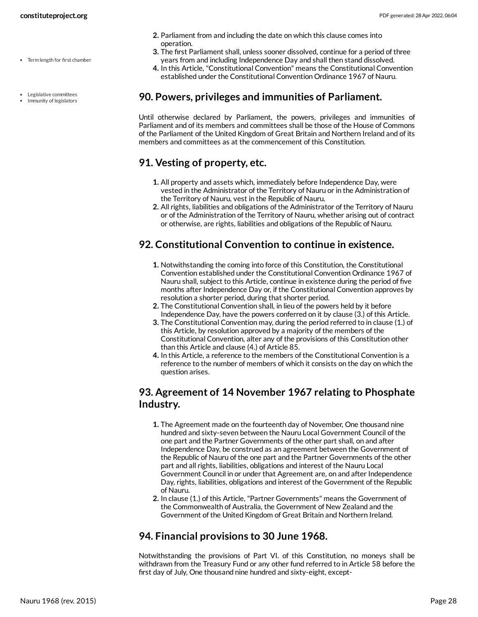- Legislative committees
- Immunity of legislators
- **2.** Parliament from and including the date on which this clause comes into operation.
- **3.** The first Parliament shall, unless sooner dissolved, continue for a period of three years from and including Independence Day and shall then stand dissolved.
- **4.** In this Article, "Constitutional Convention" means the Constitutional Convention established under the Constitutional Convention Ordinance 1967 of Nauru.

#### <span id="page-27-0"></span>**90. Powers, privileges and immunities of Parliament.**

Until otherwise declared by Parliament, the powers, privileges and immunities of Parliament and of its members and committees shall be those of the House of Commons of the Parliament of the United Kingdom of Great Britain and Northern Ireland and of its members and committees as at the commencement of this Constitution.

#### <span id="page-27-1"></span>**91. Vesting of property, etc.**

- **1.** All property and assets which, immediately before Independence Day, were vested in the Administrator of the Territory of Nauru or in the Administration of the Territory of Nauru, vest in the Republic of Nauru.
- **2.** All rights, liabilities and obligations of the Administrator of the Territory of Nauru or of the Administration of the Territory of Nauru, whether arising out of contract or otherwise, are rights, liabilities and obligations of the Republic of Nauru.

#### <span id="page-27-2"></span>**92. Constitutional Convention to continue in existence.**

- **1.** Notwithstanding the coming into force of this Constitution, the Constitutional Convention established under the Constitutional Convention Ordinance 1967 of Nauru shall, subject to this Article, continue in existence during the period of five months after Independence Day or, if the Constitutional Convention approves by resolution a shorter period, during that shorter period.
- **2.** The Constitutional Convention shall, in lieu of the powers held by it before Independence Day, have the powers conferred on it by clause (3.) of this Article.
- **3.** The Constitutional Convention may, during the period referred to in clause (1.) of this Article, by resolution approved by a majority of the members of the Constitutional Convention, alter any of the provisions of this Constitution other than this Article and clause (4.) of Article 85.
- **4.** In this Article, a reference to the members of the Constitutional Convention is a reference to the number of members of which it consists on the day on which the question arises.

#### <span id="page-27-3"></span>**93. Agreement of 14 November 1967 relating to Phosphate Industry.**

- **1.** The Agreement made on the fourteenth day of November, One thousand nine hundred and sixty-seven between the Nauru Local Government Council of the one part and the Partner Governments of the other part shall, on and after Independence Day, be construed as an agreement between the Government of the Republic of Nauru of the one part and the Partner Governments of the other part and all rights, liabilities, obligations and interest of the Nauru Local Government Council in or under that Agreement are, on and after Independence Day, rights, liabilities, obligations and interest of the Government of the Republic of Nauru.
- **2.** In clause (1.) of this Article, "Partner Governments" means the Government of the Commonwealth of Australia, the Government of New Zealand and the Government of the United Kingdom of Great Britain and Northern Ireland.

#### <span id="page-27-4"></span>**94. Financial provisions to 30 June 1968.**

Notwithstanding the provisions of Part VI. of this Constitution, no moneys shall be withdrawn from the Treasury Fund or any other fund referred to in Article 58 before the first day of July, One thousand nine hundred and sixty-eight, except-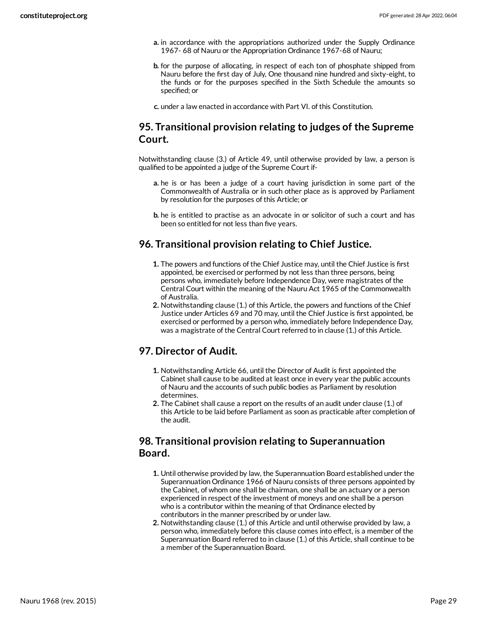- **a.** in accordance with the appropriations authorized under the Supply Ordinance 1967- 68 of Nauru or the Appropriation Ordinance 1967-68 of Nauru;
- **b.** for the purpose of allocating, in respect of each ton of phosphate shipped from Nauru before the first day of July, One thousand nine hundred and sixty-eight, to the funds or for the purposes specified in the Sixth Schedule the amounts so specified; or
- **c.** under a law enacted in accordance with Part VI. of this Constitution.

#### <span id="page-28-0"></span>**95. Transitional provision relating to judges of the Supreme Court.**

Notwithstanding clause (3.) of Article 49, until otherwise provided by law, a person is qualified to be appointed a judge of the Supreme Court if-

- **a.** he is or has been a judge of a court having jurisdiction in some part of the Commonwealth of Australia or in such other place as is approved by Parliament by resolution for the purposes of this Article; or
- **b.** he is entitled to practise as an advocate in or solicitor of such a court and has been so entitled for not less than five years.

#### <span id="page-28-1"></span>**96. Transitional provision relating to Chief Justice.**

- **1.** The powers and functions of the Chief Justice may, until the Chief Justice is first appointed, be exercised or performed by not less than three persons, being persons who, immediately before Independence Day, were magistrates of the Central Court within the meaning of the Nauru Act 1965 of the Commonwealth of Australia.
- **2.** Notwithstanding clause (1.) of this Article, the powers and functions of the Chief Justice under Articles 69 and 70 may, until the Chief Justice is first appointed, be exercised or performed by a person who, immediately before Independence Day, was a magistrate of the Central Court referred to in clause (1.) of this Article.

# <span id="page-28-2"></span>**97. Director of Audit.**

- **1.** Notwithstanding Article 66, until the Director of Audit is first appointed the Cabinet shall cause to be audited at least once in every year the public accounts of Nauru and the accounts of such public bodies as Parliament by resolution determines.
- **2.** The Cabinet shall cause a report on the results of an audit under clause (1.) of this Article to be laid before Parliament as soon as practicable after completion of the audit.

#### <span id="page-28-3"></span>**98. Transitional provision relating to Superannuation Board.**

- **1.** Until otherwise provided by law, the Superannuation Board established under the Superannuation Ordinance 1966 of Nauru consists of three persons appointed by the Cabinet, of whom one shall be chairman, one shall be an actuary or a person experienced in respect of the investment of moneys and one shall be a person who is a contributor within the meaning of that Ordinance elected by contributors in the manner prescribed by or under law.
- **2.** Notwithstanding clause (1.) of this Article and until otherwise provided by law, a person who, immediately before this clause comes into effect, is a member of the Superannuation Board referred to in clause (1.) of this Article, shall continue to be a member of the Superannuation Board.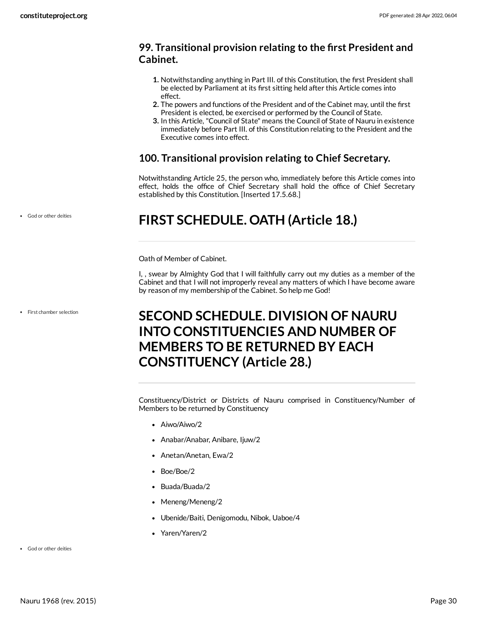#### <span id="page-29-0"></span>**99. Transitional provision relating to the first President and Cabinet.**

- **1.** Notwithstanding anything in Part III. of this Constitution, the first President shall be elected by Parliament at its first sitting held after this Article comes into effect.
- **2.** The powers and functions of the President and of the Cabinet may, until the first President is elected, be exercised or performed by the Council of State.
- **3.** In this Article, "Council of State" means the Council of State of Nauru in existence immediately before Part III. of this Constitution relating to the President and the Executive comes into effect.

#### <span id="page-29-1"></span>**100. Transitional provision relating to Chief Secretary.**

Notwithstanding Article 25, the person who, immediately before this Article comes into effect, holds the office of Chief Secretary shall hold the office of Chief Secretary established by this Constitution. [Inserted 17.5.68.]

# <span id="page-29-2"></span>**FIRST SCHEDULE. OATH (Article 18.)**

Oath of Member of Cabinet.

I, , swear by Almighty God that I will faithfully carry out my duties as a member of the Cabinet and that I will not improperly reveal any matters of which I have become aware by reason of my membership of the Cabinet. So help me God!

# <span id="page-29-3"></span>**SECOND SCHEDULE. DIVISION OF NAURU INTO CONSTITUENCIES AND NUMBER OF MEMBERS TO BE RETURNED BY EACH CONSTITUENCY (Article 28.)**

Constituency/District or Districts of Nauru comprised in Constituency/Number of Members to be returned by Constituency

- Aiwo/Aiwo/2
- Anabar/Anabar, Anibare, Ijuw/2
- Anetan/Anetan, Ewa/2
- Boe/Boe/2
- Buada/Buada/2
- Meneng/Meneng/2
- Ubenide/Baiti, Denigomodu, Nibok, Uaboe/4
- Yaren/Yaren/2

God or other deities

First chamber selection

God or other deities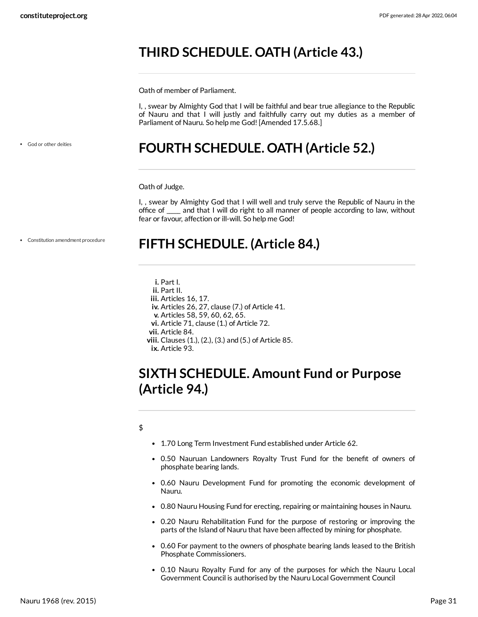# <span id="page-30-0"></span>**THIRD SCHEDULE. OATH (Article 43.)**

Oath of member of Parliament.

I, , swear by Almighty God that I will be faithful and bear true allegiance to the Republic of Nauru and that I will justly and faithfully carry out my duties as a member of Parliament of Nauru. So help me God! [Amended 17.5.68.]

God or other deities

# <span id="page-30-1"></span>**FOURTH SCHEDULE. OATH (Article 52.)**

Oath of Judge.

I, , swear by Almighty God that I will well and truly serve the Republic of Nauru in the office of \_\_\_\_\_ and that I will do right to all manner of people according to law, without fear or favour, affection or ill-will. So help me God!

Constitution amendment procedure

# <span id="page-30-2"></span>**FIFTH SCHEDULE. (Article 84.)**

**i.** Part I. **ii.** Part II. **iii.** Articles 16, 17. **iv.** Articles 26, 27, clause (7.) of Article 41. **v.** Articles 58, 59, 60, 62, 65. **vi.** Article 71, clause (1.) of Article 72. **vii.** Article 84. **viii.** Clauses (1.), (2.), (3.) and (5.) of Article 85. **ix.** Article 93.

# <span id="page-30-3"></span>**SIXTH SCHEDULE. Amount Fund or Purpose (Article 94.)**

\$

- 1.70 Long Term Investment Fund established under Article 62.
- 0.50 Nauruan Landowners Royalty Trust Fund for the benefit of owners of phosphate bearing lands.
- 0.60 Nauru Development Fund for promoting the economic development of Nauru.
- 0.80 Nauru Housing Fund for erecting, repairing or maintaining houses in Nauru.
- 0.20 Nauru Rehabilitation Fund for the purpose of restoring or improving the parts of the Island of Nauru that have been affected by mining for phosphate.
- 0.60 For payment to the owners of phosphate bearing lands leased to the British Phosphate Commissioners.
- 0.10 Nauru Royalty Fund for any of the purposes for which the Nauru Local Government Council is authorised by the Nauru Local Government Council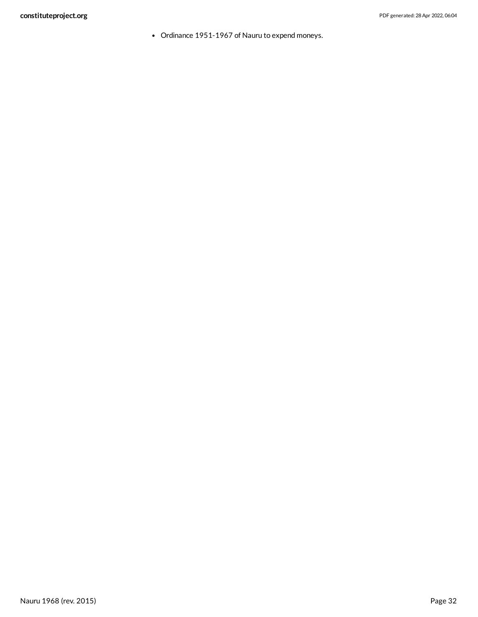Ordinance 1951-1967 of Nauru to expend moneys.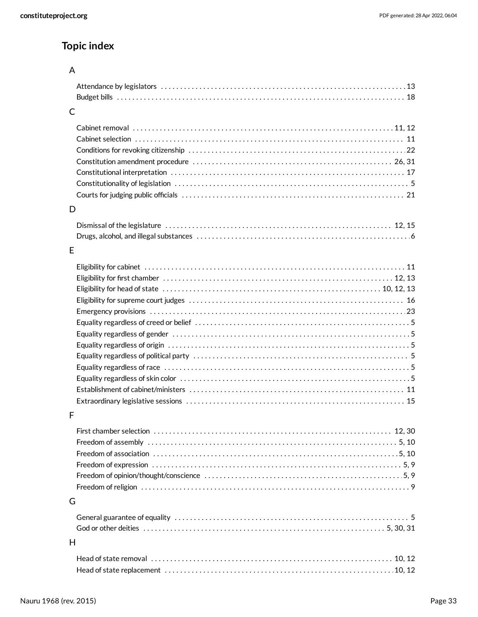# **Topic index**

| $\mathsf{A}$ |  |
|--------------|--|
|              |  |
|              |  |

#### C

#### D

# E

#### F

| Freedom of expression $\dots\dots\dots\dots\dots\dots\dots\dots\dots\dots\dots\dots\dots\dots\dots\dots\dots\dots$ |  |
|--------------------------------------------------------------------------------------------------------------------|--|
|                                                                                                                    |  |
|                                                                                                                    |  |

### G

#### H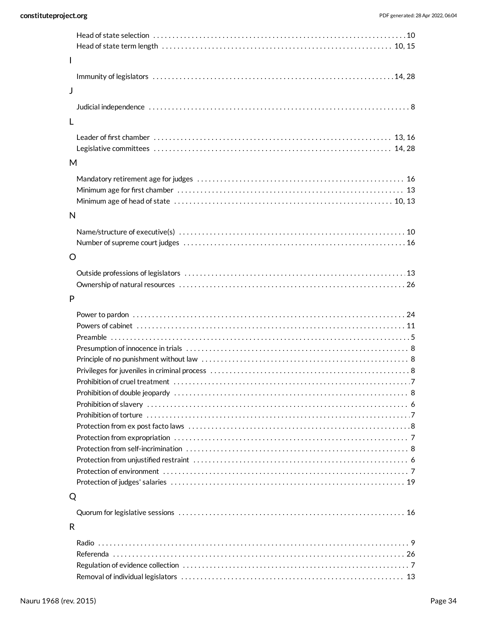| I            |
|--------------|
|              |
| J            |
|              |
|              |
| L            |
|              |
|              |
| M            |
|              |
|              |
|              |
| $\mathsf{N}$ |
|              |
|              |
| $\circ$      |
|              |
|              |
| P            |
|              |
|              |
|              |
|              |
|              |
|              |
|              |
|              |
|              |
|              |
|              |
|              |
|              |
|              |
|              |
| Q            |
|              |
| R            |
|              |
|              |
|              |
|              |